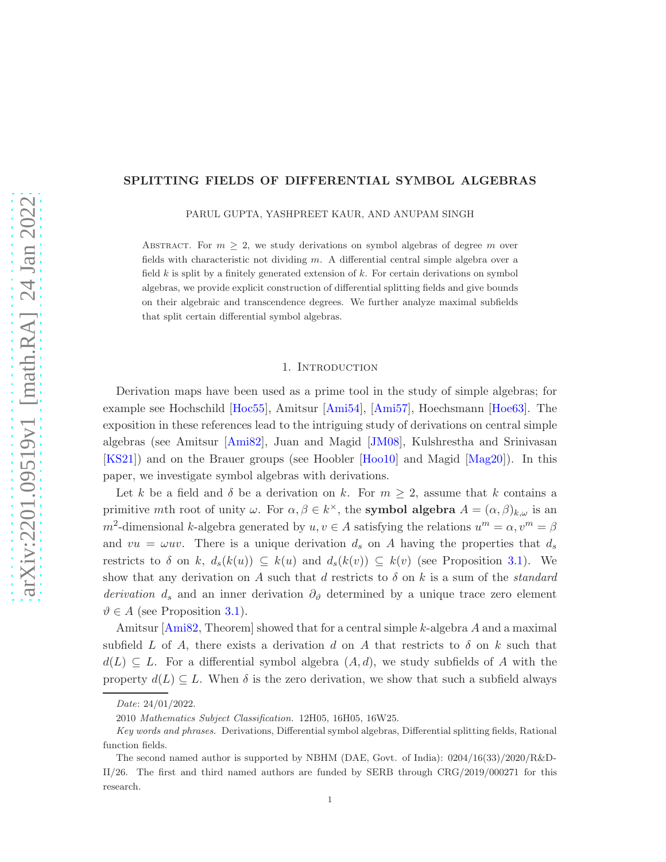## <span id="page-0-0"></span>SPLITTING FIELDS OF DIFFERENTIAL SYMBOL ALGEBRAS

PARUL GUPTA, YASHPREET KAUR, AND ANUPAM SINGH

ABSTRACT. For  $m \geq 2$ , we study derivations on symbol algebras of degree m over fields with characteristic not dividing  $m$ . A differential central simple algebra over a field  $k$  is split by a finitely generated extension of  $k$ . For certain derivations on symbol algebras, we provide explicit construction of differential splitting fields and give bounds on their algebraic and transcendence degrees. We further analyze maximal subfields that split certain differential symbol algebras.

## 1. INTRODUCTION

Derivation maps have been used as a prime tool in the study of simple algebras; for example see Hochschild [\[Hoc55\]](#page-19-0), Amitsur [\[Ami54\]](#page-19-1), [\[Ami57\]](#page-19-2), Hoechsmann [\[Hoe63\]](#page-20-0). The exposition in these references lead to the intriguing study of derivations on central simple algebras (see Amitsur [\[Ami82\]](#page-19-3), Juan and Magid [\[JM08\]](#page-20-1), Kulshrestha and Srinivasan [\[KS21\]](#page-20-2)) and on the Brauer groups (see Hoobler [\[Hoo10\]](#page-20-3) and Magid [\[Mag20\]](#page-20-4)). In this paper, we investigate symbol algebras with derivations.

Let k be a field and  $\delta$  be a derivation on k. For  $m \geq 2$ , assume that k contains a primitive mth root of unity  $\omega$ . For  $\alpha, \beta \in k^{\times}$ , the **symbol algebra**  $A = (\alpha, \beta)_{k,\omega}$  is an  $m^2$ -dimensional k-algebra generated by  $u, v \in A$  satisfying the relations  $u^m = \alpha, v^m = \beta$ and  $vu = \omega uv$ . There is a unique derivation  $d_s$  on A having the properties that  $d_s$ restricts to  $\delta$  on k,  $d_s(k(u)) \subseteq k(u)$  and  $d_s(k(v)) \subseteq k(v)$  (see Proposition [3.1\)](#page-4-0). We show that any derivation on A such that d restricts to  $\delta$  on k is a sum of the *standard* derivation  $d_s$  and an inner derivation  $\partial_{\vartheta}$  determined by a unique trace zero element  $\vartheta \in A$  (see Proposition [3.1\)](#page-4-0).

Amitsur  $[Ami82, Theorem]$  showed that for a central simple k-algebra A and a maximal subfield L of A, there exists a derivation d on A that restricts to  $\delta$  on k such that  $d(L) \subseteq L$ . For a differential symbol algebra  $(A, d)$ , we study subfields of A with the property  $d(L) \subseteq L$ . When  $\delta$  is the zero derivation, we show that such a subfield always

Date: 24/01/2022.

<sup>2010</sup> Mathematics Subject Classification. 12H05, 16H05, 16W25.

Key words and phrases. Derivations, Differential symbol algebras, Differential splitting fields, Rational function fields.

The second named author is supported by NBHM (DAE, Govt. of India): 0204/16(33)/2020/R&D-II/26. The first and third named authors are funded by SERB through CRG/2019/000271 for this research.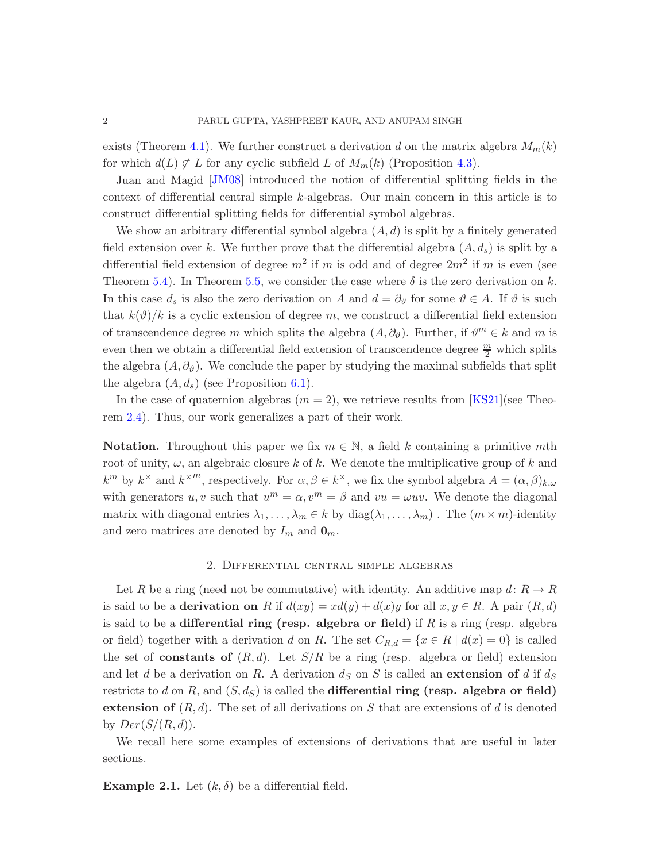<span id="page-1-0"></span>exists (Theorem [4.1\)](#page-8-0). We further construct a derivation d on the matrix algebra  $M_m(k)$ for which  $d(L) \not\subset L$  for any cyclic subfield L of  $M_m(k)$  (Proposition [4.3\)](#page-8-1).

Juan and Magid [\[JM08\]](#page-20-1) introduced the notion of differential splitting fields in the context of differential central simple k-algebras. Our main concern in this article is to construct differential splitting fields for differential symbol algebras.

We show an arbitrary differential symbol algebra  $(A, d)$  is split by a finitely generated field extension over k. We further prove that the differential algebra  $(A, d_s)$  is split by a differential field extension of degree  $m^2$  if m is odd and of degree  $2m^2$  if m is even (see Theorem [5.4\)](#page-15-0). In Theorem [5.5,](#page-16-0) we consider the case where  $\delta$  is the zero derivation on k. In this case  $d_s$  is also the zero derivation on A and  $d = \partial_{\vartheta}$  for some  $\vartheta \in A$ . If  $\vartheta$  is such that  $k(\vartheta)/k$  is a cyclic extension of degree m, we construct a differential field extension of transcendence degree m which splits the algebra  $(A, \partial_{\theta})$ . Further, if  $\vartheta^{m} \in k$  and m is even then we obtain a differential field extension of transcendence degree  $\frac{m}{2}$  which splits the algebra  $(A, \partial_{\theta})$ . We conclude the paper by studying the maximal subfields that split the algebra  $(A, d_s)$  (see Proposition [6.1\)](#page-17-0).

In the case of quaternion algebras  $(m = 2)$ , we retrieve results from [\[KS21\]](#page-20-2)(see Theorem [2.4\)](#page-3-0). Thus, our work generalizes a part of their work.

**Notation.** Throughout this paper we fix  $m \in \mathbb{N}$ , a field k containing a primitive mth root of unity,  $\omega$ , an algebraic closure  $\overline{k}$  of k. We denote the multiplicative group of k and  $k^m$  by  $k^{\times}$  and  $k^{\times m}$ , respectively. For  $\alpha, \beta \in k^{\times}$ , we fix the symbol algebra  $A = (\alpha, \beta)_{k,\omega}$ with generators u, v such that  $u^m = \alpha$ ,  $v^m = \beta$  and  $vu = \omega uv$ . We denote the diagonal matrix with diagonal entries  $\lambda_1, \ldots, \lambda_m \in k$  by  $diag(\lambda_1, \ldots, \lambda_m)$ . The  $(m \times m)$ -identity and zero matrices are denoted by  $I_m$  and  $\mathbf{0}_m$ .

### 2. Differential central simple algebras

Let R be a ring (need not be commutative) with identity. An additive map  $d: R \to R$ is said to be a **derivation on** R if  $d(xy) = xd(y) + d(x)y$  for all  $x, y \in R$ . A pair  $(R, d)$ is said to be a differential ring (resp. algebra or field) if  $R$  is a ring (resp. algebra or field) together with a derivation d on R. The set  $C_{R,d} = \{x \in R \mid d(x) = 0\}$  is called the set of **constants of**  $(R, d)$ . Let  $S/R$  be a ring (resp. algebra or field) extension and let d be a derivation on R. A derivation  $d<sub>S</sub>$  on S is called an extension of d if  $d<sub>S</sub>$ restricts to d on R, and  $(S, d_S)$  is called the **differential ring (resp. algebra or field)** extension of  $(R, d)$ . The set of all derivations on S that are extensions of d is denoted by  $Der(S/(R, d)).$ 

We recall here some examples of extensions of derivations that are useful in later sections.

**Example 2.1.** Let  $(k, \delta)$  be a differential field.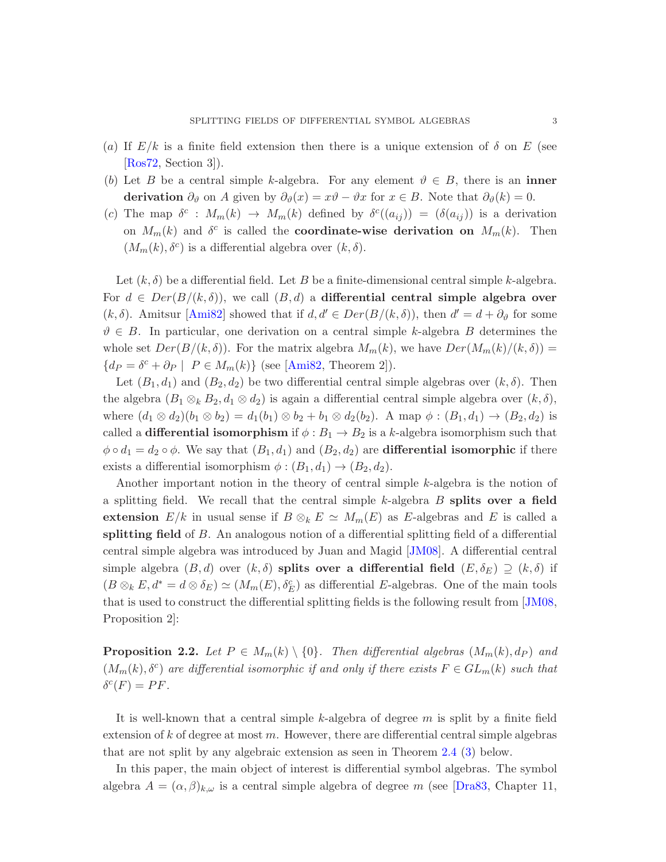- <span id="page-2-1"></span>(a) If  $E/k$  is a finite field extension then there is a unique extension of  $\delta$  on E (see [\[Ros72,](#page-20-5) Section 3]).
- (b) Let B be a central simple k-algebra. For any element  $\vartheta \in B$ , there is an inner derivation  $\partial_{\vartheta}$  on A given by  $\partial_{\vartheta}(x) = x\vartheta - \vartheta x$  for  $x \in B$ . Note that  $\partial_{\vartheta}(k) = 0$ .
- (c) The map  $\delta^c$ :  $M_m(k) \to M_m(k)$  defined by  $\delta^c((a_{ij})) = (\delta(a_{ij}))$  is a derivation on  $M_m(k)$  and  $\delta^c$  is called the **coordinate-wise derivation on**  $M_m(k)$ . Then  $(M_m(k), \delta^c)$  is a differential algebra over  $(k, \delta)$ .

Let  $(k, \delta)$  be a differential field. Let B be a finite-dimensional central simple k-algebra. For  $d \in Der(B/(k,\delta))$ , we call  $(B,d)$  a differential central simple algebra over  $(k, \delta)$ . Amitsur [\[Ami82\]](#page-19-3) showed that if  $d, d' \in Der(B/(k, \delta))$ , then  $d' = d + \partial_{\theta}$  for some  $\vartheta \in B$ . In particular, one derivation on a central simple k-algebra B determines the whole set  $Der(B/(k, \delta))$ . For the matrix algebra  $M_m(k)$ , we have  $Der(M_m(k)/(k, \delta))$  =  $\{dp = \delta^c + \partial_P \mid P \in M_m(k)\}\$  (see [\[Ami82,](#page-19-3) Theorem 2]).

Let  $(B_1, d_1)$  and  $(B_2, d_2)$  be two differential central simple algebras over  $(k, \delta)$ . Then the algebra  $(B_1 \otimes_k B_2, d_1 \otimes d_2)$  is again a differential central simple algebra over  $(k, \delta)$ , where  $(d_1 \otimes d_2)(b_1 \otimes b_2) = d_1(b_1) \otimes b_2 + b_1 \otimes d_2(b_2)$ . A map  $\phi : (B_1, d_1) \to (B_2, d_2)$  is called a **differential isomorphism** if  $\phi : B_1 \to B_2$  is a k-algebra isomorphism such that  $\phi \circ d_1 = d_2 \circ \phi$ . We say that  $(B_1, d_1)$  and  $(B_2, d_2)$  are **differential isomorphic** if there exists a differential isomorphism  $\phi : (B_1, d_1) \to (B_2, d_2)$ .

Another important notion in the theory of central simple k-algebra is the notion of a splitting field. We recall that the central simple  $k$ -algebra  $B$  splits over a field extension  $E/k$  in usual sense if  $B \otimes_k E \simeq M_m(E)$  as E-algebras and E is called a splitting field of B. An analogous notion of a differential splitting field of a differential central simple algebra was introduced by Juan and Magid [\[JM08\]](#page-20-1). A differential central simple algebra  $(B, d)$  over  $(k, \delta)$  splits over a differential field  $(E, \delta_E) \supseteq (k, \delta)$  if  $(B \otimes_k E, d^* = d \otimes \delta_E) \simeq (M_m(E), \delta_E^c)$  as differential E-algebras. One of the main tools that is used to construct the differential splitting fields is the following result from [\[JM08,](#page-20-1) Proposition 2]:

<span id="page-2-0"></span>**Proposition 2.2.** Let  $P \in M_m(k) \setminus \{0\}$ . Then differential algebras  $(M_m(k), dp)$  and  $(M_m(k), \delta^c)$  are differential isomorphic if and only if there exists  $F \in GL_m(k)$  such that  $\delta^c(F) = PF.$ 

It is well-known that a central simple  $k$ -algebra of degree  $m$  is split by a finite field extension of  $k$  of degree at most  $m$ . However, there are differential central simple algebras that are not split by any algebraic extension as seen in Theorem [2.4](#page-3-0) [\(3\)](#page-3-1) below.

In this paper, the main object of interest is differential symbol algebras. The symbol algebra  $A = (\alpha, \beta)_{k,\omega}$  is a central simple algebra of degree m (see [\[Dra83,](#page-19-4) Chapter 11,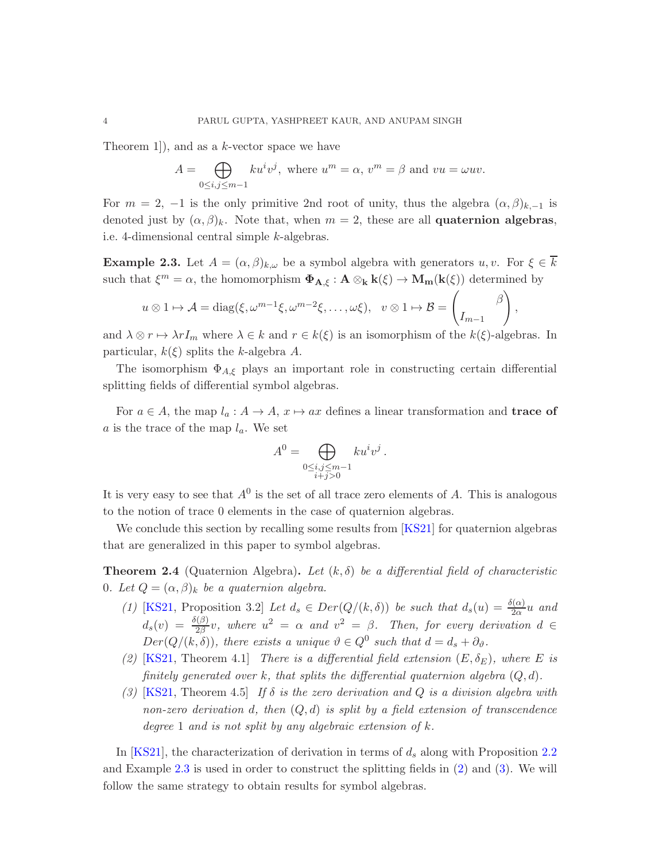<span id="page-3-4"></span>Theorem 1]), and as a k-vector space we have

$$
A = \bigoplus_{0 \le i,j \le m-1} k u^i v^j, \text{ where } u^m = \alpha, v^m = \beta \text{ and } vu = \omega uv.
$$

For  $m = 2$ ,  $-1$  is the only primitive 2nd root of unity, thus the algebra  $(\alpha, \beta)_{k,-1}$  is denoted just by  $(\alpha, \beta)_k$ . Note that, when  $m = 2$ , these are all **quaternion algebras**, i.e. 4-dimensional central simple k-algebras.

<span id="page-3-2"></span>**Example 2.3.** Let  $A = (\alpha, \beta)_{k,\omega}$  be a symbol algebra with generators  $u, v$ . For  $\xi \in \overline{k}$ such that  $\xi^m = \alpha$ , the homomorphism  $\Phi_{A,\xi} : A \otimes_k k(\xi) \to M_m(k(\xi))$  determined by

$$
u \otimes 1 \mapsto A = \text{diag}(\xi, \omega^{m-1}\xi, \omega^{m-2}\xi, \dots, \omega\xi), \quad v \otimes 1 \mapsto B = \begin{pmatrix} \beta \\ I_{m-1} \end{pmatrix}
$$

,

and  $\lambda \otimes r \mapsto \lambda r I_m$  where  $\lambda \in k$  and  $r \in k(\xi)$  is an isomorphism of the  $k(\xi)$ -algebras. In particular,  $k(\xi)$  splits the k-algebra A.

The isomorphism  $\Phi_{A,\xi}$  plays an important role in constructing certain differential splitting fields of differential symbol algebras.

For  $a \in A$ , the map  $l_a : A \to A$ ,  $x \mapsto ax$  defines a linear transformation and **trace of** a is the trace of the map  $l_a$ . We set

$$
A^{0} = \bigoplus_{\substack{0 \le i,j \le m-1 \\ i+j>0}} k u^{i} v^{j} .
$$

It is very easy to see that  $A^0$  is the set of all trace zero elements of A. This is analogous to the notion of trace 0 elements in the case of quaternion algebras.

<span id="page-3-0"></span>We conclude this section by recalling some results from [\[KS21\]](#page-20-2) for quaternion algebras that are generalized in this paper to symbol algebras.

**Theorem 2.4** (Quaternion Algebra). Let  $(k, \delta)$  be a differential field of characteristic 0. Let  $Q = (\alpha, \beta)_k$  be a quaternion algebra.

- (1) [\[KS21,](#page-20-2) Proposition 3.2] Let  $d_s \in Der(Q/(k,\delta))$  be such that  $d_s(u) = \frac{\delta(\alpha)}{2\alpha}u$  and  $d_s(v) = \frac{\delta(\beta)}{2\beta}v$ , where  $u^2 = \alpha$  and  $v^2 = \beta$ . Then, for every derivation  $d \in$  $Der(Q/(k, \delta)),$  there exists a unique  $\vartheta \in Q^0$  such that  $d = d_s + \partial_{\vartheta}$ .
- <span id="page-3-3"></span><span id="page-3-1"></span>(2) [\[KS21,](#page-20-2) Theorem 4.1] There is a differential field extension  $(E, \delta_E)$ , where E is finitely generated over k, that splits the differential quaternion algebra  $(Q, d)$ .
- (3) [\[KS21,](#page-20-2) Theorem 4.5] If  $\delta$  is the zero derivation and Q is a division algebra with non-zero derivation d, then  $(Q, d)$  is split by a field extension of transcendence degree 1 and is not split by any algebraic extension of  $k$ .

In [\[KS21\]](#page-20-2), the characterization of derivation in terms of  $d_s$  along with Proposition [2.2](#page-2-0) and Example [2.3](#page-3-2) is used in order to construct the splitting fields in [\(2\)](#page-3-3) and [\(3\)](#page-3-1). We will follow the same strategy to obtain results for symbol algebras.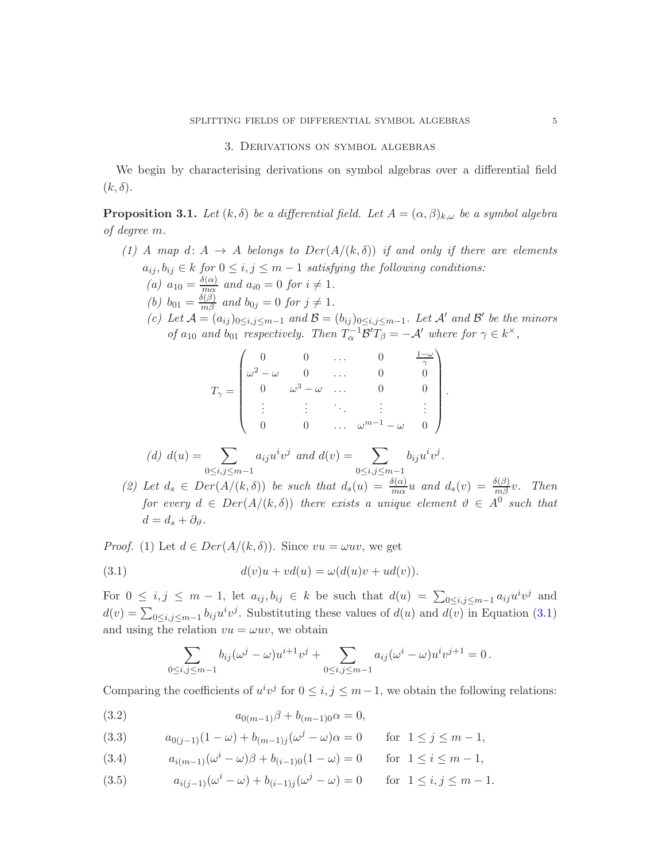#### 3. Derivations on symbol algebras

<span id="page-4-0"></span>We begin by characterising derivations on symbol algebras over a differential field  $(k, \delta).$ 

<span id="page-4-6"></span>**Proposition 3.1.** Let  $(k, \delta)$  be a differential field. Let  $A = (\alpha, \beta)_{k,\omega}$  be a symbol algebra of degree m.

- (1) A map d:  $A \rightarrow A$  belongs to  $Der(A/(k, \delta))$  if and only if there are elements  $a_{ij}, b_{ij} \in k$  for  $0 \le i, j \le m-1$  satisfying the following conditions:
	- (a)  $a_{10} = \frac{\delta(\alpha)}{m\alpha}$  $\frac{\partial(\alpha)}{\partial n\alpha}$  and  $a_{i0}=0$  for  $i\neq 1$ .
	- (b)  $b_{01} = \frac{\delta(\beta)}{m\beta}$  and  $b_{0j} = 0$  for  $j \neq 1$ .
	- (c) Let  $\mathcal{A} = (a_{ij})_{0 \le i,j \le m-1}$  and  $\mathcal{B} = (b_{ij})_{0 \le i,j \le m-1}$ . Let  $\mathcal{A}'$  and  $\mathcal{B}'$  be the minors of  $a_{10}$  and  $b_{01}$  respectively. Then  $T_{\alpha}^{-1} \mathcal{B}' T_{\beta} = -\mathcal{A}'$  where for  $\gamma \in k^{\times}$ ,

|                                                                                                                              |          |                                 | $\frac{-\omega}{\gamma}$ |
|------------------------------------------------------------------------------------------------------------------------------|----------|---------------------------------|--------------------------|
|                                                                                                                              |          |                                 |                          |
| $T_{\gamma} = \begin{pmatrix} 0 & 0 & \dots \\ \omega^2 - \omega & 0 & \dots \\ 0 & \omega^3 - \omega & \dots \end{pmatrix}$ |          |                                 |                          |
|                                                                                                                              |          | <b>中国 医中国</b>                   | $\rightarrow \pm 1$      |
|                                                                                                                              | $\Omega$ | $\omega^{m-1} - \omega \quad 0$ |                          |

(d) 
$$
d(u) = \sum_{0 \le i, j \le m-1} a_{ij} u^i v^j
$$
 and  $d(v) = \sum_{0 \le i, j \le m-1} b_{ij} u^i v^j$ .

<span id="page-4-7"></span>(2) Let  $d_s \in Der(A/(k,\delta))$  be such that  $d_s(u) = \frac{\delta(\alpha)}{m\alpha}u$  and  $d_s(v) = \frac{\delta(\beta)}{m\beta}v$ . Then for every  $d \in Der(A/(k, \delta))$  there exists a unique element  $\vartheta \in A^0$  such that  $d = d_s + \partial_{\vartheta}$ .

*Proof.* (1) Let  $d \in Der(A/(k, \delta))$ . Since  $vu = \omega uv$ , we get

(3.1) 
$$
d(v)u + vd(u) = \omega(d(u)v + ud(v)).
$$

For  $0 \leq i, j \leq m-1$ , let  $a_{ij}, b_{ij} \in k$  be such that  $d(u) = \sum_{0 \leq i, j \leq m-1} a_{ij} u^i v^j$  and  $d(v) = \sum_{0 \le i, j \le m-1} b_{ij} u^i v^j$ . Substituting these values of  $d(u)$  and  $d(v)$  in Equation [\(3.1\)](#page-4-1) and using the relation  $vu = \omega uv$ , we obtain

<span id="page-4-1"></span>
$$
\sum_{0 \le i,j \le m-1} b_{ij} (\omega^j - \omega) u^{i+1} v^j + \sum_{0 \le i,j \le m-1} a_{ij} (\omega^i - \omega) u^i v^{j+1} = 0.
$$

Comparing the coefficients of  $u^i v^j$  for  $0 \le i, j \le m-1$ , we obtain the following relations:

<span id="page-4-5"></span>(3.2) 
$$
a_{0(m-1)}\beta + b_{(m-1)0}\alpha = 0,
$$

<span id="page-4-2"></span>(3.3) 
$$
a_{0(j-1)}(1 - \omega) + b_{(m-1)j}(\omega^j - \omega)\alpha = 0 \quad \text{for } 1 \le j \le m - 1,
$$

<span id="page-4-3"></span>(3.4) 
$$
a_{i(m-1)}(\omega^{i} - \omega)\beta + b_{(i-1)0}(1 - \omega) = 0 \quad \text{for } 1 \leq i \leq m-1,
$$

<span id="page-4-4"></span>(3.5) 
$$
a_{i(j-1)}(\omega^{i} - \omega) + b_{(i-1)j}(\omega^{j} - \omega) = 0 \quad \text{for } 1 \le i, j \le m - 1.
$$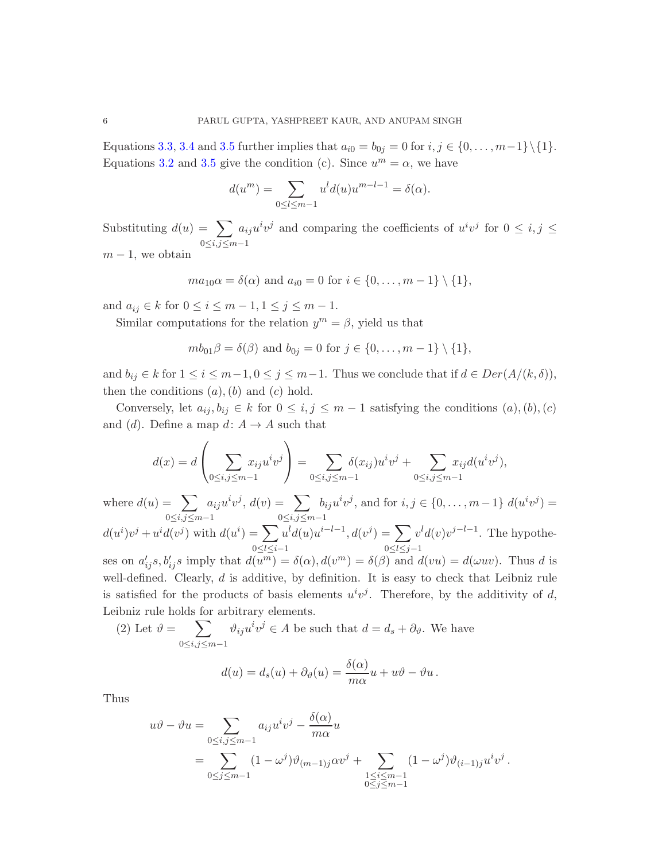Equations [3.3,](#page-4-2) [3.4](#page-4-3) and [3.5](#page-4-4) further implies that  $a_{i0} = b_{0j} = 0$  for  $i, j \in \{0, ..., m-1\} \setminus \{1\}.$ Equations [3.2](#page-4-5) and [3.5](#page-4-4) give the condition (c). Since  $u^m = \alpha$ , we have

$$
d(um) = \sum_{0 \le l \le m-1} ul d(u)um-l-1 = \delta(\alpha).
$$

Substituting  $d(u) = \sum$  $0\leq i,j\leq m-1$  $a_{ij}u^iv^j$  and comparing the coefficients of  $u^iv^j$  for  $0 \le i, j \le j$  $m-1$ , we obtain

$$
ma_{10}\alpha = \delta(\alpha)
$$
 and  $a_{i0} = 0$  for  $i \in \{0, ..., m - 1\} \setminus \{1\}$ ,

and  $a_{ij} \in k$  for  $0 \le i \le m-1, 1 \le j \le m-1$ .

Leibniz rule holds for arbitrary elements.

Similar computations for the relation  $y^m = \beta$ , yield us that

$$
mb_{01}\beta = \delta(\beta)
$$
 and  $b_{0j} = 0$  for  $j \in \{0, ..., m-1\} \setminus \{1\}$ ,

and  $b_{ij} \in k$  for  $1 \le i \le m-1, 0 \le j \le m-1$ . Thus we conclude that if  $d \in Der(A/(k, \delta)),$ then the conditions  $(a)$ ,  $(b)$  and  $(c)$  hold.

Conversely, let  $a_{ij}, b_{ij} \in k$  for  $0 \le i, j \le m-1$  satisfying the conditions  $(a), (b), (c)$ and (d). Define a map  $d: A \to A$  such that

$$
d(x) = d\left(\sum_{0 \le i,j \le m-1} x_{ij} u^i v^j\right) = \sum_{0 \le i,j \le m-1} \delta(x_{ij}) u^i v^j + \sum_{0 \le i,j \le m-1} x_{ij} d(u^i v^j),
$$

where  $d(u) = \sum$  $0\leq i,j\leq m-1$  $a_{ij}u^iv^j, d(v) = \sum$  $0\leq i,j\leq m-1$  $b_{ij}u^iv^j$ , and for  $i, j \in \{0, ..., m-1\} d(u^iv^j) =$  $d(u^i)v^j + u^id(v^j)$  with  $d(u^i) = \sum$  $0 \leq l \leq i-1$  $u<sup>i</sup> d(u) u<sup>i-l-1</sup>, d(v<sup>j</sup>) = \sum$ 0≤l≤j−1  $v<sup>l</sup> d(v)v<sup>j-l-1</sup>$ . The hypotheses on  $a'_{ij}s, b'_{ij}s$  imply that  $d(u^m) = \delta(\alpha), d(v^m) = \delta(\beta)$  and  $d(vu) = d(\omega uv)$ . Thus d is well-defined. Clearly,  $d$  is additive, by definition. It is easy to check that Leibniz rule is satisfied for the products of basis elements  $u^i v^j$ . Therefore, by the additivity of d,

(2) Let  $\vartheta = \sum$  $0\leq i,j\leq m-1$  $\vartheta_{ij}u^iv^j \in A$  be such that  $d = d_s + \partial_{\vartheta}$ . We have

$$
d(u) = d_s(u) + \partial_{\vartheta}(u) = \frac{\delta(\alpha)}{m\alpha}u + u\vartheta - \vartheta u.
$$

Thus

$$
u\vartheta - \vartheta u = \sum_{0 \le i,j \le m-1} a_{ij} u^i v^j - \frac{\delta(\alpha)}{m\alpha} u
$$
  
= 
$$
\sum_{0 \le j \le m-1} (1 - \omega^j) \vartheta_{(m-1)j} \alpha v^j + \sum_{\substack{1 \le i \le m-1 \\ 0 \le j \le m-1}} (1 - \omega^j) \vartheta_{(i-1)j} u^i v^j.
$$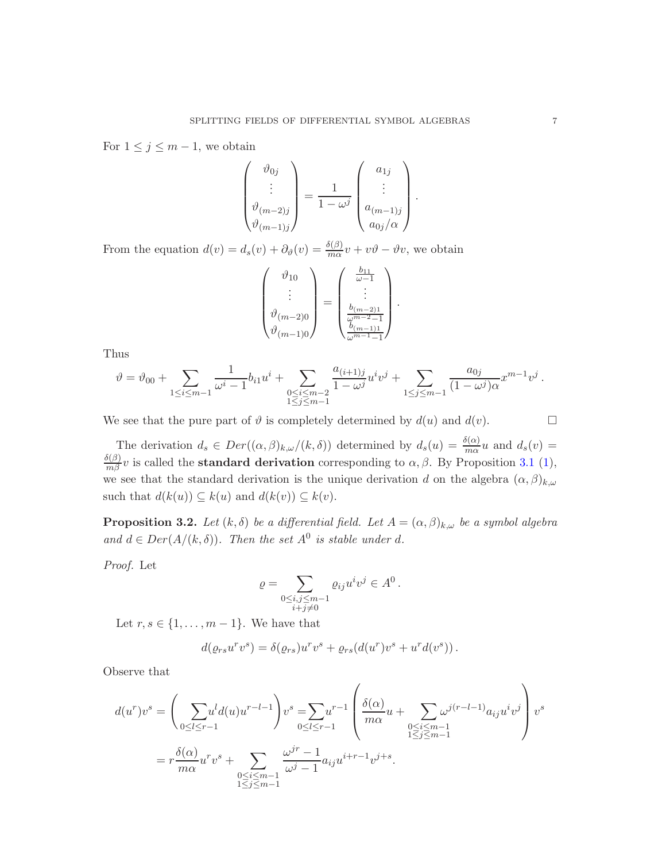For  $1 \leq j \leq m-1$ , we obtain

$$
\begin{pmatrix}\n\vartheta_{0j} \\
\vdots \\
\vartheta_{(m-2)j} \\
\vartheta_{(m-1)j}\n\end{pmatrix} = \frac{1}{1 - \omega^j} \begin{pmatrix}\na_{1j} \\
\vdots \\
a_{(m-1)j} \\
a_{0j}/\alpha\n\end{pmatrix}
$$

.

From the equation  $d(v) = d_s(v) + \partial_{\theta}(v) = \frac{\delta(\beta)}{m\alpha}v + v\theta - \theta v$ , we obtain

$$
\begin{pmatrix}\n\vartheta_{10} \\
\vdots \\
\vartheta_{(m-2)0} \\
\vartheta_{(m-1)0}\n\end{pmatrix} = \begin{pmatrix}\n\frac{b_{11}}{\omega - 1} \\
\vdots \\
\frac{b_{(m-2)1}}{\omega^{m-2} - 1} \\
\frac{b_{(m-1)1}}{\omega^{m-1} - 1}\n\end{pmatrix}.
$$

Thus

$$
\vartheta = \vartheta_{00} + \sum_{1 \leq i \leq m-1} \frac{1}{\omega^i - 1} b_{i1} u^i + \sum_{\substack{0 \leq i \leq m-2 \\ 1 \leq j \leq m-1}} \frac{a_{(i+1)j}}{1 - \omega^j} u^i v^j + \sum_{1 \leq j \leq m-1} \frac{a_{0j}}{(1 - \omega^j) \alpha} x^{m-1} v^j.
$$

We see that the pure part of  $\vartheta$  is completely determined by  $d(u)$  and  $d(v)$ .

The derivation  $d_s \in Der((\alpha,\beta)_{k,\omega}/(k,\delta))$  determined by  $d_s(u) = \frac{\delta(\alpha)}{m\alpha}u$  and  $d_s(v) =$  $\frac{\delta(\beta)}{m\beta}v$  is called the **standard derivation** corresponding to  $\alpha$ ,  $\beta$ . By Proposition [3.1](#page-4-0) [\(1\)](#page-4-6), we see that the standard derivation is the unique derivation d on the algebra  $(\alpha, \beta)_{k,\omega}$ such that  $d(k(u)) \subseteq k(u)$  and  $d(k(v)) \subseteq k(v)$ .

**Proposition 3.2.** Let  $(k, \delta)$  be a differential field. Let  $A = (\alpha, \beta)_{k,\omega}$  be a symbol algebra and  $d \in Der(A/(k,\delta))$ . Then the set  $A^0$  is stable under d.

Proof. Let

$$
\varrho = \sum_{\substack{0 \le i, j \le m-1 \\ i+j \neq 0}} \varrho_{ij} u^i v^j \in A^0.
$$

Let  $r, s \in \{1, \ldots, m-1\}$ . We have that

$$
d(\varrho_{rs}u^rv^s)=\delta(\varrho_{rs})u^rv^s+\varrho_{rs}(d(u^r)v^s+u^rd(v^s)).
$$

Observe that

$$
d(u^r)v^s = \left(\sum_{0 \le l \le r-1} u^l d(u)u^{r-l-1}\right)v^s = \sum_{0 \le l \le r-1} u^{r-1} \left(\frac{\delta(\alpha)}{m\alpha}u + \sum_{\substack{0 \le i \le m-1 \\ 1 \le j \le m-1}} \omega^{j(r-l-1)} a_{ij}u^iv^j\right)v^s
$$
  
=  $r \frac{\delta(\alpha)}{m\alpha}u^rv^s + \sum_{\substack{0 \le i \le m-1 \\ 1 \le j \le m-1}} \frac{\omega^{jr} - 1}{\omega^j - 1} a_{ij}u^{i+r-1}v^{j+s}.$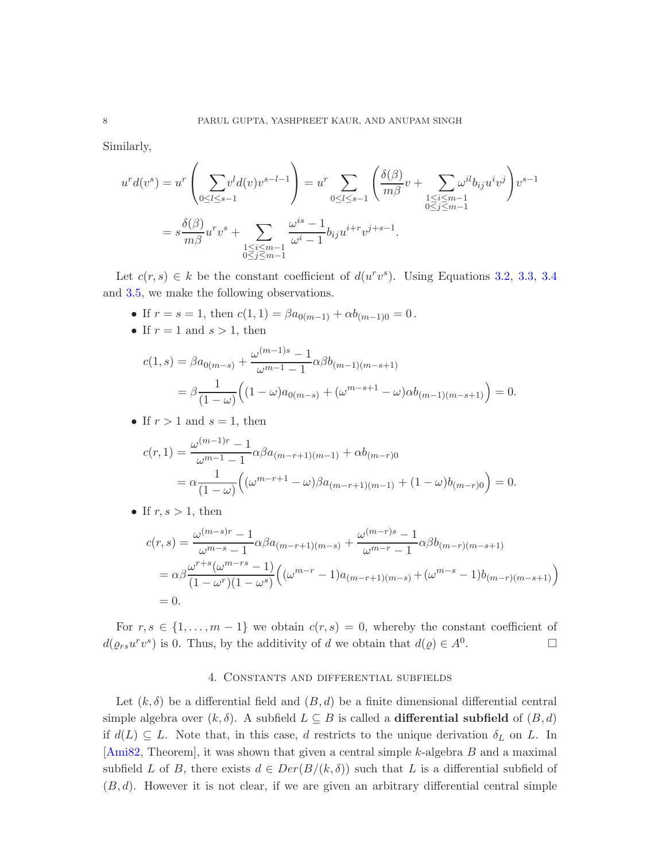<span id="page-7-0"></span>Similarly,

$$
u^{r} d(v^{s}) = u^{r} \left( \sum_{0 \leq l \leq s-1} v^{l} d(v) v^{s-l-1} \right) = u^{r} \sum_{0 \leq l \leq s-1} \left( \frac{\delta(\beta)}{m\beta} v + \sum_{\substack{1 \leq i \leq m-1 \\ 0 \leq j \leq m-1}} \omega^{il} b_{ij} u^{i} v^{j} \right) v^{s-1}
$$

$$
= s \frac{\delta(\beta)}{m\beta} u^{r} v^{s} + \sum_{\substack{1 \leq i \leq m-1 \\ 0 \leq j \leq m-1}} \frac{\omega^{is} - 1}{\omega^{i} - 1} b_{ij} u^{i+r} v^{j+s-1}.
$$

Let  $c(r, s) \in k$  be the constant coefficient of  $d(u^r v^s)$ . Using Equations [3.2,](#page-4-5) [3.3,](#page-4-2) [3.4](#page-4-3) and [3.5,](#page-4-4) we make the following observations.

- If  $r = s = 1$ , then  $c(1, 1) = \beta a_{0(m-1)} + \alpha b_{(m-1)0} = 0$ .
- If  $r = 1$  and  $s > 1$ , then

$$
c(1,s) = \beta a_{0(m-s)} + \frac{\omega^{(m-1)s} - 1}{\omega^{m-1} - 1} \alpha \beta b_{(m-1)(m-s+1)}
$$
  
=  $\beta \frac{1}{(1-\omega)} \Big( (1-\omega) a_{0(m-s)} + (\omega^{m-s+1} - \omega) \alpha b_{(m-1)(m-s+1)} \Big) = 0.$ 

• If  $r > 1$  and  $s = 1$ , then

$$
c(r, 1) = \frac{\omega^{(m-1)r} - 1}{\omega^{m-1} - 1} \alpha \beta a_{(m-r+1)(m-1)} + \alpha b_{(m-r)0}
$$
  
=  $\alpha \frac{1}{(1-\omega)} \Big( (\omega^{m-r+1} - \omega) \beta a_{(m-r+1)(m-1)} + (1-\omega) b_{(m-r)0} \Big) = 0.$ 

• If  $r, s > 1$ , then

$$
c(r,s) = \frac{\omega^{(m-s)r} - 1}{\omega^{m-s} - 1} \alpha \beta a_{(m-r+1)(m-s)} + \frac{\omega^{(m-r)s} - 1}{\omega^{m-r} - 1} \alpha \beta b_{(m-r)(m-s+1)}
$$
  
=  $\alpha \beta \frac{\omega^{r+s}(\omega^{m-rs} - 1)}{(1 - \omega^r)(1 - \omega^s)} \left( (\omega^{m-r} - 1) a_{(m-r+1)(m-s)} + (\omega^{m-s} - 1) b_{(m-r)(m-s+1)} \right)$   
= 0.

For  $r, s \in \{1, \ldots, m-1\}$  we obtain  $c(r, s) = 0$ , whereby the constant coefficient of  $d(\varrho_{rs}u^rv^s)$  is 0. Thus, by the additivity of d we obtain that  $d(\varrho) \in A^0$ . — Первый проста в сервести проста в сервести проста в сервести проста в сервести проста в сервести проста в<br>В сервести проста в сервести проста в сервести проста в сервести проста в сервести проста в сервести проста в

# 4. Constants and differential subfields

Let  $(k, \delta)$  be a differential field and  $(B, d)$  be a finite dimensional differential central simple algebra over  $(k, \delta)$ . A subfield  $L \subseteq B$  is called a **differential subfield** of  $(B, d)$ if  $d(L) \subseteq L$ . Note that, in this case, d restricts to the unique derivation  $\delta_L$  on L. In [\[Ami82,](#page-19-3) Theorem], it was shown that given a central simple k-algebra B and a maximal subfield L of B, there exists  $d \in Der(B/(k,\delta))$  such that L is a differential subfield of  $(B, d)$ . However it is not clear, if we are given an arbitrary differential central simple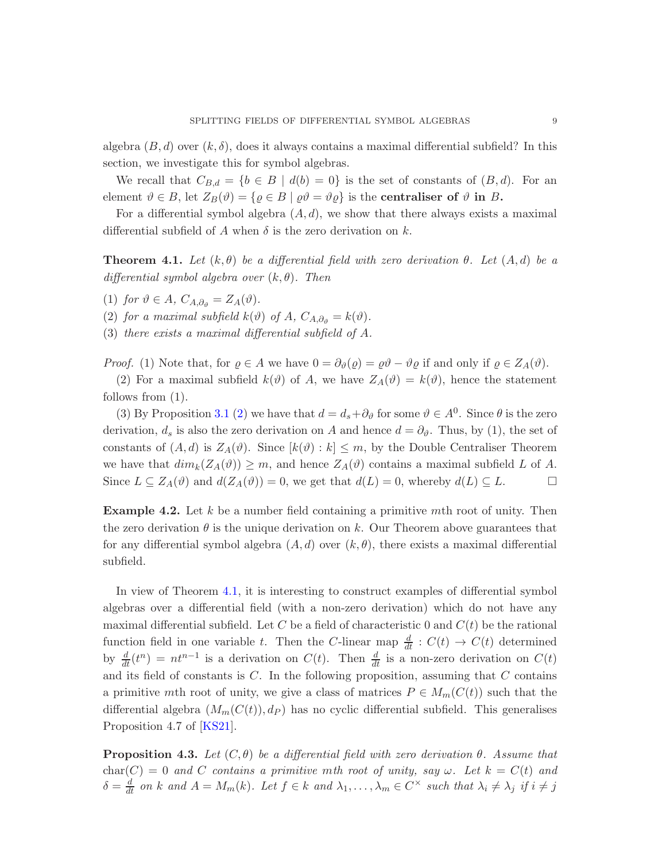<span id="page-8-2"></span>algebra  $(B, d)$  over  $(k, \delta)$ , does it always contains a maximal differential subfield? In this section, we investigate this for symbol algebras.

We recall that  $C_{B,d} = \{b \in B \mid d(b) = 0\}$  is the set of constants of  $(B,d)$ . For an element  $\vartheta \in B$ , let  $Z_B(\vartheta) = {\varrho \in B \mid \varrho \vartheta = \vartheta \varrho}$  is the **centraliser of**  $\vartheta$  in B.

<span id="page-8-0"></span>For a differential symbol algebra  $(A, d)$ , we show that there always exists a maximal differential subfield of A when  $\delta$  is the zero derivation on k.

**Theorem 4.1.** Let  $(k, \theta)$  be a differential field with zero derivation  $\theta$ . Let  $(A, d)$  be a differential symbol algebra over  $(k, \theta)$ . Then

(1) for  $\vartheta \in A$ ,  $C_{A,\partial_{\vartheta}} = Z_A(\vartheta)$ .

(2) for a maximal subfield  $k(\vartheta)$  of A,  $C_{A,\partial_{\vartheta}} = k(\vartheta)$ .

(3) there exists a maximal differential subfield of A.

*Proof.* (1) Note that, for  $\varrho \in A$  we have  $0 = \partial_{\vartheta}(\varrho) = \varrho \vartheta - \vartheta \varrho$  if and only if  $\varrho \in Z_A(\vartheta)$ .

(2) For a maximal subfield  $k(\vartheta)$  of A, we have  $Z_A(\vartheta) = k(\vartheta)$ , hence the statement follows from (1).

(3) By Proposition [3.1](#page-4-0) [\(2\)](#page-4-7) we have that  $d = d_s + \partial_{\theta}$  for some  $\theta \in A^0$ . Since  $\theta$  is the zero derivation,  $d_s$  is also the zero derivation on A and hence  $d = \partial_{\vartheta}$ . Thus, by (1), the set of constants of  $(A, d)$  is  $Z_A(\vartheta)$ . Since  $[k(\vartheta) : k] \leq m$ , by the Double Centraliser Theorem we have that  $dim_k(Z_A(\vartheta)) \geq m$ , and hence  $Z_A(\vartheta)$  contains a maximal subfield L of A. Since  $L \subseteq Z_A(\vartheta)$  and  $d(Z_A(\vartheta)) = 0$ , we get that  $d(L) = 0$ , whereby  $d(L) \subseteq L$ .

**Example 4.2.** Let k be a number field containing a primitive mth root of unity. Then the zero derivation  $\theta$  is the unique derivation on k. Our Theorem above guarantees that for any differential symbol algebra  $(A, d)$  over  $(k, \theta)$ , there exists a maximal differential subfield.

In view of Theorem [4.1,](#page-8-0) it is interesting to construct examples of differential symbol algebras over a differential field (with a non-zero derivation) which do not have any maximal differential subfield. Let C be a field of characteristic 0 and  $C(t)$  be the rational function field in one variable t. Then the C-linear map  $\frac{d}{dt}$ :  $C(t) \rightarrow C(t)$  determined by  $\frac{d}{dt}(t^n) = nt^{n-1}$  is a derivation on  $C(t)$ . Then  $\frac{d}{dt}$  is a non-zero derivation on  $C(t)$ and its field of constants is  $C$ . In the following proposition, assuming that  $C$  contains a primitive mth root of unity, we give a class of matrices  $P \in M_m(C(t))$  such that the differential algebra  $(M_m(C(t)), d_P)$  has no cyclic differential subfield. This generalises Proposition 4.7 of [\[KS21\]](#page-20-2).

<span id="page-8-1"></span>**Proposition 4.3.** Let  $(C, \theta)$  be a differential field with zero derivation  $\theta$ . Assume that char(C) = 0 and C contains a primitive mth root of unity, say  $\omega$ . Let  $k = C(t)$  and  $\delta = \frac{d}{dt}$  on k and  $A = M_m(k)$ . Let  $f \in k$  and  $\lambda_1, \ldots, \lambda_m \in C^\times$  such that  $\lambda_i \neq \lambda_j$  if  $i \neq j$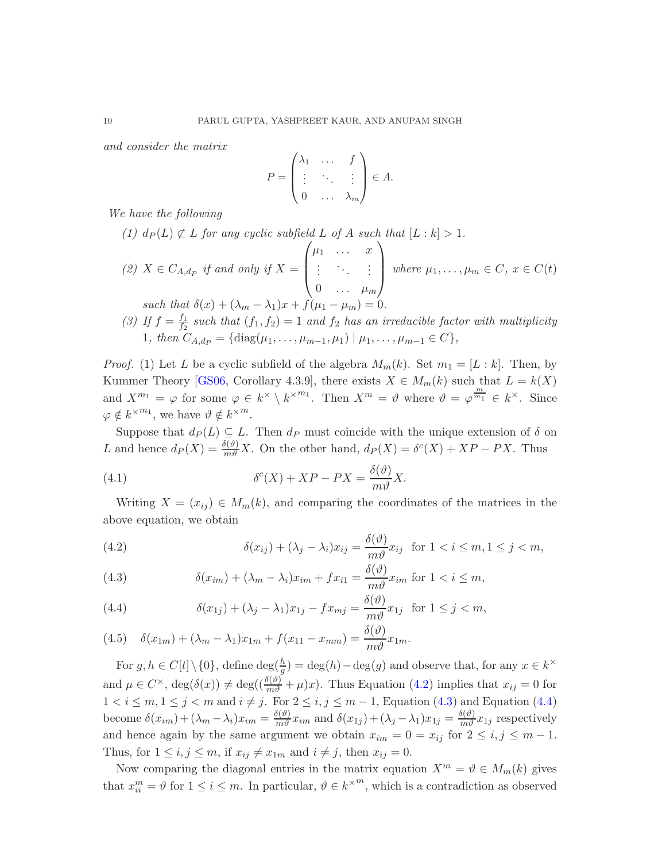<span id="page-9-4"></span>and consider the matrix

$$
P = \begin{pmatrix} \lambda_1 & \dots & f \\ \vdots & \ddots & \vdots \\ 0 & \dots & \lambda_m \end{pmatrix} \in A.
$$

We have the following

\n- (1) 
$$
d_P(L) \not\subset L
$$
 for any cyclic subfield  $L$  of  $A$  such that  $[L:k] > 1$ .
\n- (2)  $X \in C_{A,d_P}$  if and only if  $X = \begin{pmatrix} \mu_1 & \cdots & x \\ \vdots & \ddots & \vdots \\ 0 & \cdots & \mu_m \end{pmatrix}$  where  $\mu_1, \ldots, \mu_m \in C$ ,  $x \in C(t)$  such that  $\delta(x) + (\lambda_m - \lambda_1)x + f(\mu_1 - \mu_m) = 0$ .
\n- (3) If  $f = \frac{f_1}{f_2}$  such that  $(f_1, f_2) = 1$  and  $f_2$  has an irreducible factor with multiplicity
\n

<span id="page-9-3"></span>1, then 
$$
C_{A,d_P} = \{ \text{diag}(\mu_1, \ldots, \mu_{m-1}, \mu_1) \mid \mu_1, \ldots, \mu_{m-1} \in C \}
$$
,

*Proof.* (1) Let L be a cyclic subfield of the algebra  $M_m(k)$ . Set  $m_1 = [L : k]$ . Then, by Kummer Theory [\[GS06,](#page-19-5) Corollary 4.3.9], there exists  $X \in M_m(k)$  such that  $L = k(X)$ and  $X^{m_1} = \varphi$  for some  $\varphi \in k^{\times} \setminus k^{\times m_1}$ . Then  $X^m = \vartheta$  where  $\vartheta = \varphi^{\frac{m}{m_1}} \in k^{\times}$ . Since  $\varphi \notin k^{\times m_1}$ , we have  $\vartheta \notin k^{\times m}$ .

Suppose that  $d_P(L) \subseteq L$ . Then  $d_P$  must coincide with the unique extension of  $\delta$  on L and hence  $d_P(X) = \frac{\delta(\vartheta)}{m\vartheta} X$ . On the other hand,  $d_P(X) = \delta^c(X) + XP - PX$ . Thus

(4.1) 
$$
\delta^{c}(X) + XP - PX = \frac{\delta(\vartheta)}{m\vartheta}X.
$$

Writing  $X = (x_{ij}) \in M_m(k)$ , and comparing the coordinates of the matrices in the above equation, we obtain

<span id="page-9-0"></span>(4.2) 
$$
\delta(x_{ij}) + (\lambda_j - \lambda_i)x_{ij} = \frac{\delta(\vartheta)}{m\vartheta}x_{ij} \text{ for } 1 < i \leq m, 1 \leq j < m,
$$

<span id="page-9-1"></span>(4.3) 
$$
\delta(x_{im}) + (\lambda_m - \lambda_i)x_{im} + fx_{i1} = \frac{\delta(\vartheta)}{m\vartheta}x_{im} \text{ for } 1 < i \leq m,
$$

<span id="page-9-2"></span>(4.4) 
$$
\delta(x_{1j}) + (\lambda_j - \lambda_1)x_{1j} - fx_{mj} = \frac{\delta(\vartheta)}{m\vartheta}x_{1j} \text{ for } 1 \leq j < m,
$$

(4.5) 
$$
\delta(x_{1m}) + (\lambda_m - \lambda_1)x_{1m} + f(x_{11} - x_{mm}) = \frac{\delta(\vartheta)}{m\vartheta}x_{1m}.
$$

For  $g, h \in C[t] \setminus \{0\}$ , define  $\deg(\frac{h}{g}) = \deg(h) - \deg(g)$  and observe that, for any  $x \in k^{\times}$ and  $\mu \in C^{\times}$ ,  $\deg(\delta(x)) \neq \deg((\frac{\delta(\vartheta)}{m\vartheta} + \mu)x)$ . Thus Equation [\(4.2\)](#page-9-0) implies that  $x_{ij} = 0$  for  $1 < i \leq m, 1 \leq j < m$  and  $i \neq j$ . For  $2 \leq i, j \leq m-1$ , Equation [\(4.3\)](#page-9-1) and Equation [\(4.4\)](#page-9-2) become  $\delta(x_{im}) + (\lambda_m - \lambda_i)x_{im} = \frac{\delta(\theta)}{m\theta}x_{im}$  and  $\delta(x_{1j}) + (\lambda_j - \lambda_1)x_{1j} = \frac{\delta(\theta)}{m\theta}x_{1j}$  respectively and hence again by the same argument we obtain  $x_{im} = 0 = x_{ij}$  for  $2 \le i, j \le m - 1$ . Thus, for  $1 \leq i, j \leq m$ , if  $x_{ij} \neq x_{1m}$  and  $i \neq j$ , then  $x_{ij} = 0$ .

Now comparing the diagonal entries in the matrix equation  $X^m = \vartheta \in M_m(k)$  gives that  $x_{ii}^m = \vartheta$  for  $1 \le i \le m$ . In particular,  $\vartheta \in k^{\times m}$ , which is a contradiction as observed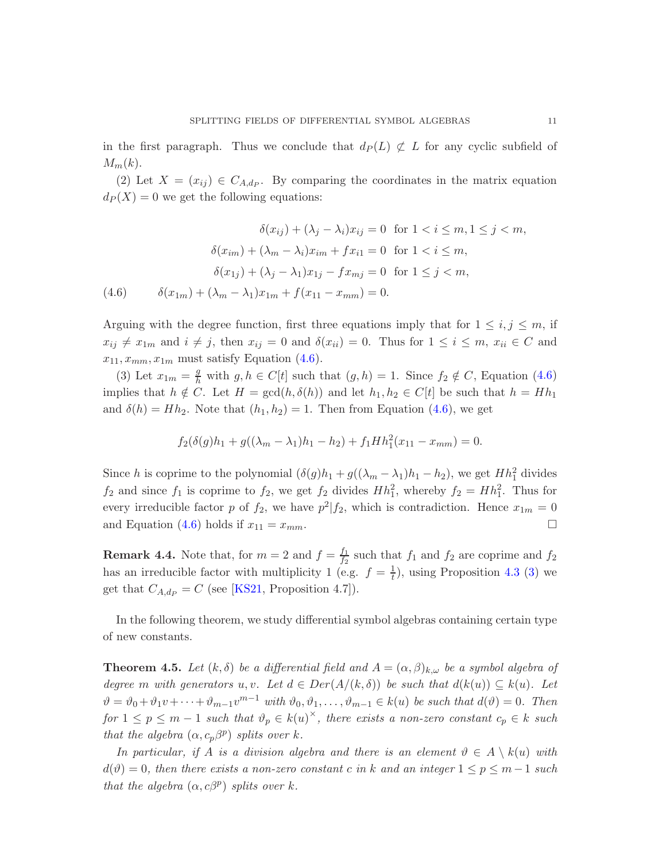<span id="page-10-2"></span>in the first paragraph. Thus we conclude that  $d_P(L) \not\subset L$  for any cyclic subfield of  $M_m(k)$ .

(2) Let  $X = (x_{ij}) \in C_{A,d_p}$ . By comparing the coordinates in the matrix equation  $d_P(X) = 0$  we get the following equations:

$$
\delta(x_{ij}) + (\lambda_j - \lambda_i)x_{ij} = 0 \text{ for } 1 < i \le m, 1 \le j < m,
$$
  

$$
\delta(x_{im}) + (\lambda_m - \lambda_i)x_{im} + fx_{i1} = 0 \text{ for } 1 < i \le m,
$$
  

$$
\delta(x_{1j}) + (\lambda_j - \lambda_1)x_{1j} - fx_{mj} = 0 \text{ for } 1 \le j < m,
$$
  
(4.6) 
$$
\delta(x_{1m}) + (\lambda_m - \lambda_1)x_{1m} + f(x_{11} - x_{mm}) = 0.
$$

<span id="page-10-0"></span>Arguing with the degree function, first three equations imply that for  $1 \leq i, j \leq m$ , if  $x_{ij} \neq x_{1m}$  and  $i \neq j$ , then  $x_{ij} = 0$  and  $\delta(x_{ii}) = 0$ . Thus for  $1 \leq i \leq m$ ,  $x_{ii} \in C$  and  $x_{11}, x_{mm}, x_{1m}$  must satisfy Equation [\(4.6\)](#page-10-0).

(3) Let  $x_{1m} = \frac{g}{h}$  with  $g, h \in C[t]$  such that  $(g, h) = 1$ . Since  $f_2 \notin C$ , Equation [\(4.6\)](#page-10-0) implies that  $h \notin C$ . Let  $H = \gcd(h, \delta(h))$  and let  $h_1, h_2 \in C[t]$  be such that  $h = Hh_1$ and  $\delta(h) = Hh_2$ . Note that  $(h_1, h_2) = 1$ . Then from Equation [\(4.6\)](#page-10-0), we get

$$
f_2(\delta(g)h_1 + g((\lambda_m - \lambda_1)h_1 - h_2) + f_1 H h_1^2(x_{11} - x_{mm}) = 0.
$$

Since h is coprime to the polynomial  $(\delta(g)h_1 + g((\lambda_m - \lambda_1)h_1 - h_2))$ , we get  $Hh_1^2$  divides  $f_2$  and since  $f_1$  is coprime to  $f_2$ , we get  $f_2$  divides  $Hh_1^2$ , whereby  $f_2 = Hh_1^2$ . Thus for every irreducible factor p of  $f_2$ , we have  $p^2|f_2$ , which is contradiction. Hence  $x_{1m} = 0$ and Equation [\(4.6\)](#page-10-0) holds if  $x_{11} = x_{mm}$ .

**Remark 4.4.** Note that, for  $m = 2$  and  $f = \frac{f_1}{f_2}$  $\frac{J_1}{f_2}$  such that  $f_1$  and  $f_2$  are coprime and  $f_2$ has an irreducible factor with multiplicity 1 (e.g.  $f = \frac{1}{t}$ ), using Proposition [4.3](#page-8-1) [\(3\)](#page-9-3) we get that  $C_{A,d_P} = C$  (see [\[KS21,](#page-20-2) Proposition 4.7]).

<span id="page-10-1"></span>In the following theorem, we study differential symbol algebras containing certain type of new constants.

**Theorem 4.5.** Let  $(k, \delta)$  be a differential field and  $A = (\alpha, \beta)_{k,\omega}$  be a symbol algebra of degree m with generators u, v. Let  $d \in Der(A/(k, \delta))$  be such that  $d(k(u)) \subseteq k(u)$ . Let  $\vartheta = \vartheta_0 + \vartheta_1 v + \cdots + \vartheta_{m-1} v^{m-1}$  with  $\vartheta_0, \vartheta_1, \ldots, \vartheta_{m-1} \in k(u)$  be such that  $d(\vartheta) = 0$ . Then for  $1 \leq p \leq m-1$  such that  $\vartheta_p \in k(u)^{\times}$ , there exists a non-zero constant  $c_p \in k$  such that the algebra  $(\alpha, c_p \beta^p)$  splits over k.

In particular, if A is a division algebra and there is an element  $\vartheta \in A \setminus k(u)$  with  $d(\vartheta) = 0$ , then there exists a non-zero constant c in k and an integer  $1 \le p \le m-1$  such that the algebra  $(\alpha, c\beta^p)$  splits over k.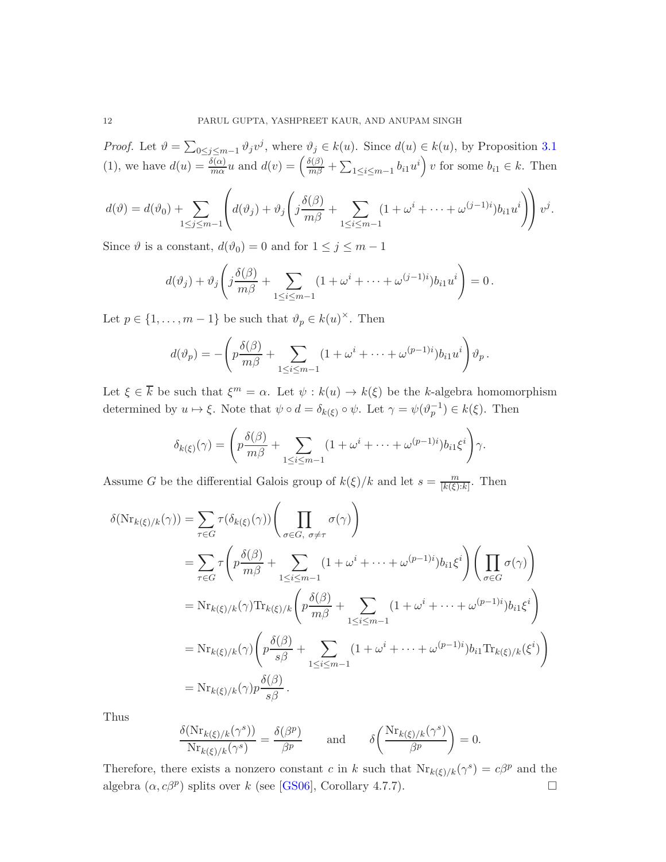<span id="page-11-0"></span>*Proof.* Let  $\vartheta = \sum_{0 \le j \le m-1} \vartheta_j v^j$ , where  $\vartheta_j \in k(u)$ . Since  $d(u) \in k(u)$ , by Proposition [3.1](#page-4-0) (1), we have  $d(u) = \frac{\delta(\alpha)}{m\alpha}u$  and  $d(v) = \left(\frac{\delta(\beta)}{m\beta} + \sum_{1 \leq i \leq m-1} b_{i1}u^i\right)v$  for some  $b_{i1} \in k$ . Then

$$
d(\vartheta) = d(\vartheta_0) + \sum_{1 \leq j \leq m-1} \left( d(\vartheta_j) + \vartheta_j \left( j \frac{\delta(\beta)}{m\beta} + \sum_{1 \leq i \leq m-1} (1 + \omega^i + \dots + \omega^{(j-1)i}) b_{i1} u^i \right) \right) v^j.
$$

Since  $\vartheta$  is a constant,  $d(\vartheta_0) = 0$  and for  $1 \leq j \leq m - 1$ 

$$
d(\vartheta_j) + \vartheta_j \left( j \frac{\delta(\beta)}{m\beta} + \sum_{1 \leq i \leq m-1} (1 + \omega^i + \dots + \omega^{(j-1)i}) b_{i1} u^i \right) = 0.
$$

Let  $p \in \{1, \ldots, m-1\}$  be such that  $\vartheta_p \in k(u)^\times$ . Then

$$
d(\vartheta_p) = -\left(p\frac{\delta(\beta)}{m\beta} + \sum_{1 \leq i \leq m-1} (1 + \omega^i + \dots + \omega^{(p-1)i})b_{i1}u^i\right)\vartheta_p.
$$

Let  $\xi \in \overline{k}$  be such that  $\xi^m = \alpha$ . Let  $\psi : k(u) \to k(\xi)$  be the k-algebra homomorphism determined by  $u \mapsto \xi$ . Note that  $\psi \circ d = \delta_{k(\xi)} \circ \psi$ . Let  $\gamma = \psi(\vartheta_p^{-1}) \in k(\xi)$ . Then

$$
\delta_{k(\xi)}(\gamma) = \left( p \frac{\delta(\beta)}{m\beta} + \sum_{1 \leq i \leq m-1} (1 + \omega^i + \dots + \omega^{(p-1)i}) b_{i1} \xi^i \right) \gamma.
$$

Assume G be the differential Galois group of  $k(\xi)/k$  and let  $s = \frac{m}{\lfloor k(\xi) \rfloor}$  $\frac{m}{[k(\xi):k]}$ . Then

$$
\delta(\mathrm{Nr}_{k(\xi)/k}(\gamma)) = \sum_{\tau \in G} \tau(\delta_{k(\xi)}(\gamma)) \left( \prod_{\sigma \in G, \sigma \neq \tau} \sigma(\gamma) \right)
$$
  
\n
$$
= \sum_{\tau \in G} \tau \left( p \frac{\delta(\beta)}{m\beta} + \sum_{1 \le i \le m-1} (1 + \omega^i + \dots + \omega^{(p-1)i}) b_{i1} \xi^i \right) \left( \prod_{\sigma \in G} \sigma(\gamma) \right)
$$
  
\n
$$
= \mathrm{Nr}_{k(\xi)/k}(\gamma) \mathrm{Tr}_{k(\xi)/k} \left( p \frac{\delta(\beta)}{m\beta} + \sum_{1 \le i \le m-1} (1 + \omega^i + \dots + \omega^{(p-1)i}) b_{i1} \xi^i \right)
$$
  
\n
$$
= \mathrm{Nr}_{k(\xi)/k}(\gamma) \left( p \frac{\delta(\beta)}{s\beta} + \sum_{1 \le i \le m-1} (1 + \omega^i + \dots + \omega^{(p-1)i}) b_{i1} \mathrm{Tr}_{k(\xi)/k}(\xi^i) \right)
$$
  
\n
$$
= \mathrm{Nr}_{k(\xi)/k}(\gamma) p \frac{\delta(\beta)}{s\beta}.
$$

Thus

$$
\frac{\delta(\mathrm{Nr}_{k(\xi)/k}(\gamma^s))}{\mathrm{Nr}_{k(\xi)/k}(\gamma^s)} = \frac{\delta(\beta^p)}{\beta^p} \quad \text{and} \quad \delta\left(\frac{\mathrm{Nr}_{k(\xi)/k}(\gamma^s)}{\beta^p}\right) = 0.
$$

Therefore, there exists a nonzero constant c in k such that  $\text{Nr}_{k(\xi)/k}(\gamma^s) = c\beta^p$  and the algebra  $(\alpha, c\beta^p)$  splits over k (see [\[GS06\]](#page-19-5), Corollary 4.7.7).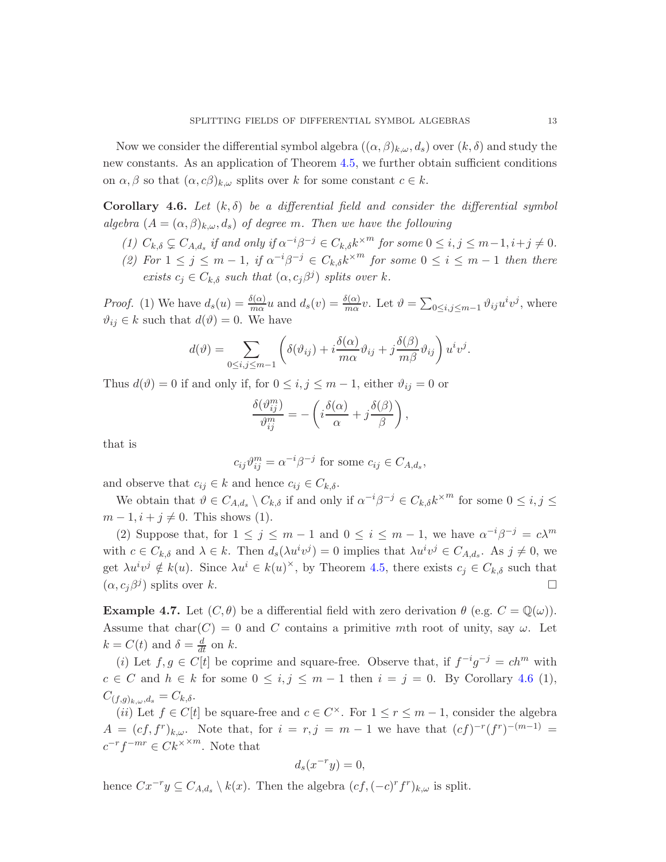Now we consider the differential symbol algebra  $((\alpha, \beta)_{k,\omega}, d_s)$  over  $(k, \delta)$  and study the new constants. As an application of Theorem [4.5,](#page-10-1) we further obtain sufficient conditions on  $\alpha, \beta$  so that  $(\alpha, c\beta)_{k,\omega}$  splits over k for some constant  $c \in k$ .

<span id="page-12-0"></span>**Corollary 4.6.** Let  $(k, \delta)$  be a differential field and consider the differential symbol algebra  $(A = (\alpha, \beta)_{k,\omega}, d_s)$  of degree m. Then we have the following

- (1)  $C_{k,\delta} \subsetneq C_{A,d_s}$  if and only if  $\alpha^{-i}\beta^{-j} \in C_{k,\delta} k^{\times m}$  for some  $0 \leq i,j \leq m-1, i+j \neq 0$ .
- (2) For  $1 \leq j \leq m-1$ , if  $\alpha^{-i}\beta^{-j} \in C_{k,\delta} k^{\times m}$  for some  $0 \leq i \leq m-1$  then there exists  $c_j \in C_{k,\delta}$  such that  $(\alpha, c_j \beta^j)$  splits over k.

*Proof.* (1) We have  $d_s(u) = \frac{\delta(\alpha)}{m\alpha}u$  and  $d_s(v) = \frac{\delta(\alpha)}{m\alpha}v$ . Let  $\vartheta = \sum_{0 \le i,j \le m-1} \vartheta_{ij}u^iv^j$ , where  $\vartheta_{ij} \in k$  such that  $d(\vartheta) = 0$ . We have

$$
d(\vartheta) = \sum_{0 \le i, j \le m-1} \left( \delta(\vartheta_{ij}) + i \frac{\delta(\alpha)}{m\alpha} \vartheta_{ij} + j \frac{\delta(\beta)}{m\beta} \vartheta_{ij} \right) u^i v^j.
$$

Thus  $d(\vartheta) = 0$  if and only if, for  $0 \leq i, j \leq m-1$ , either  $\vartheta_{ij} = 0$  or

$$
\frac{\delta(\vartheta_{ij}^m)}{\vartheta_{ij}^m} = -\left(i\frac{\delta(\alpha)}{\alpha} + j\frac{\delta(\beta)}{\beta}\right),\,
$$

that is

$$
c_{ij}\vartheta_{ij}^m = \alpha^{-i}\beta^{-j} \text{ for some } c_{ij} \in C_{A,d_s},
$$

and observe that  $c_{ij} \in k$  and hence  $c_{ij} \in C_{k,\delta}$ .

We obtain that  $\vartheta \in C_{A,d_s} \setminus C_{k,\delta}$  if and only if  $\alpha^{-i}\beta^{-j} \in C_{k,\delta} k^{\times m}$  for some  $0 \le i, j \le k$  $m-1, i+j \neq 0$ . This shows (1).

(2) Suppose that, for  $1 \leq j \leq m-1$  and  $0 \leq i \leq m-1$ , we have  $\alpha^{-i}\beta^{-j} = c\lambda^m$ with  $c \in C_{k,\delta}$  and  $\lambda \in k$ . Then  $d_s(\lambda u^i v^j) = 0$  implies that  $\lambda u^i v^j \in C_{A,d_s}$ . As  $j \neq 0$ , we get  $\lambda u^i v^j \notin k(u)$ . Since  $\lambda u^i \in k(u)^{\times}$ , by Theorem [4.5,](#page-10-1) there exists  $c_j \in C_{k,\delta}$  such that  $(\alpha, c_j \beta^j)$  splits over k.

**Example 4.7.** Let  $(C, \theta)$  be a differential field with zero derivation  $\theta$  (e.g.  $C = \mathbb{Q}(\omega)$ ). Assume that  $char(C) = 0$  and C contains a primitive mth root of unity, say  $\omega$ . Let  $k = C(t)$  and  $\delta = \frac{d}{dt}$  on k.

(i) Let  $f, g \in C[t]$  be coprime and square-free. Observe that, if  $f^{-i}g^{-j} = ch^m$  with  $c \in C$  and  $h \in k$  for some  $0 \le i, j \le m-1$  then  $i = j = 0$ . By Corollary [4.6](#page-12-0) (1),  $C_{(f,g)_{k,\omega},d_s} = C_{k,\delta}.$ 

(*ii*) Let  $f \in C[t]$  be square-free and  $c \in C^{\times}$ . For  $1 \leq r \leq m-1$ , consider the algebra  $A = (cf, f^r)_{k,\omega}$ . Note that, for  $i = r, j = m - 1$  we have that  $(cf)^{-r}(f^r)^{-(m-1)} =$  $c^{-r}f^{-mr} \in Ck^{\times m}$ . Note that

$$
d_s(x^{-r}y) = 0,
$$

hence  $Cx^{-r}y \subseteq C_{A,d_s} \setminus k(x)$ . Then the algebra  $(cf, (-c)^r f^r)_{k,\omega}$  is split.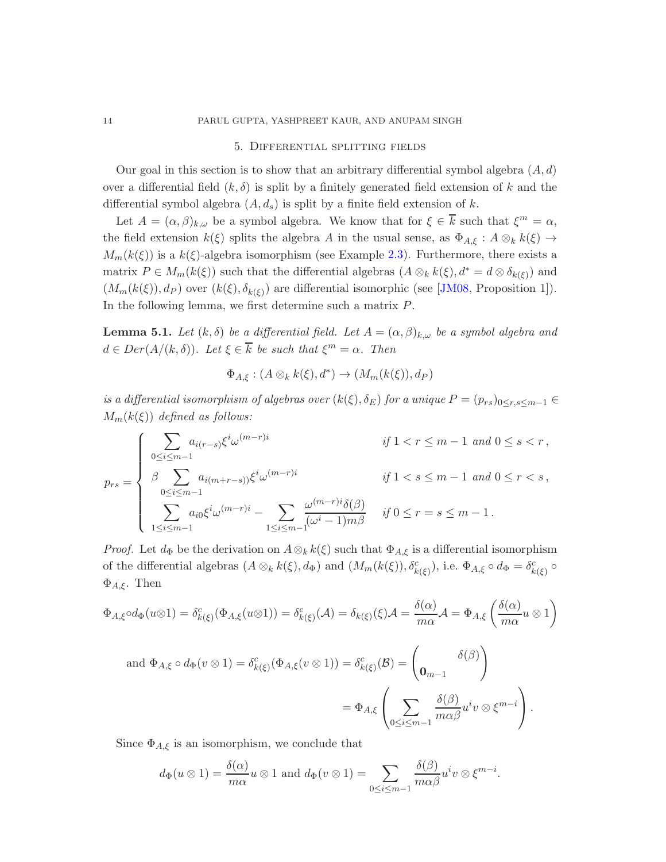## <span id="page-13-1"></span>14 PARUL GUPTA, YASHPREET KAUR, AND ANUPAM SINGH

### 5. Differential splitting fields

Our goal in this section is to show that an arbitrary differential symbol algebra  $(A, d)$ over a differential field  $(k, \delta)$  is split by a finitely generated field extension of k and the differential symbol algebra  $(A, d_s)$  is split by a finite field extension of k.

Let  $A = (\alpha, \beta)_{k,\omega}$  be a symbol algebra. We know that for  $\xi \in \overline{k}$  such that  $\xi^m = \alpha$ , the field extension  $k(\xi)$  splits the algebra A in the usual sense, as  $\Phi_{A,\xi}: A \otimes_k k(\xi) \to$  $M_m(k(\xi))$  is a  $k(\xi)$ -algebra isomorphism (see Example [2.3\)](#page-3-2). Furthermore, there exists a matrix  $P \in M_m(k(\xi))$  such that the differential algebras  $(A \otimes_k k(\xi), d^* = d \otimes \delta_{k(\xi)})$  and  $(M_m(k(\xi)), d_P)$  over  $(k(\xi), \delta_{k(\xi)})$  are differential isomorphic (see [\[JM08,](#page-20-1) Proposition 1]). In the following lemma, we first determine such a matrix P.

<span id="page-13-0"></span>**Lemma 5.1.** Let  $(k, \delta)$  be a differential field. Let  $A = (\alpha, \beta)_{k,\omega}$  be a symbol algebra and  $d \in Der(A/(k,\delta))$ . Let  $\xi \in \overline{k}$  be such that  $\xi^m = \alpha$ . Then

$$
\Phi_{A,\xi}: (A \otimes_k k(\xi), d^*) \to (M_m(k(\xi)), d_P)
$$

is a differential isomorphism of algebras over  $(k(\xi), \delta_E)$  for a unique  $P = (p_{rs})_{0 \leq r,s \leq m-1}$  $M_m(k(\xi))$  defined as follows:

$$
p_{rs} = \begin{cases} \sum_{0 \le i \le m-1} a_{i(r-s)} \xi^i \omega^{(m-r)i} & \text{if } 1 < r \le m-1 \text{ and } 0 \le s < r \,, \\ \beta \sum_{0 \le i \le m-1} a_{i(m+r-s))} \xi^i \omega^{(m-r)i} & \text{if } 1 < s \le m-1 \text{ and } 0 \le r < s \,, \\ \sum_{1 \le i \le m-1} a_{i0} \xi^i \omega^{(m-r)i} - \sum_{1 \le i \le m-1} \frac{\omega^{(m-r)i} \delta(\beta)}{(\omega^i - 1)m\beta} & \text{if } 0 \le r = s \le m-1 \,. \end{cases}
$$

*Proof.* Let  $d_{\Phi}$  be the derivation on  $A \otimes_k k(\xi)$  such that  $\Phi_{A,\xi}$  is a differential isomorphism of the differential algebras  $(A \otimes_k k(\xi), d_{\Phi})$  and  $(M_m(k(\xi)), \delta^c_{k(\xi)})$ , i.e.  $\Phi_{A,\xi} \circ d_{\Phi} = \delta^c_{k(\xi)} \circ d_{\Phi}$  $\Phi_{A,\xi}$ . Then

$$
\Phi_{A,\xi} \circ d_{\Phi}(u \otimes 1) = \delta^c_{k(\xi)}(\Phi_{A,\xi}(u \otimes 1)) = \delta^c_{k(\xi)}(\mathcal{A}) = \delta_{k(\xi)}(\xi)\mathcal{A} = \frac{\delta(\alpha)}{m\alpha}\mathcal{A} = \Phi_{A,\xi}\left(\frac{\delta(\alpha)}{m\alpha}u \otimes 1\right)
$$

and 
$$
\Phi_{A,\xi} \circ d_{\Phi}(v \otimes 1) = \delta_{k(\xi)}^c(\Phi_{A,\xi}(v \otimes 1)) = \delta_{k(\xi)}^c(\mathcal{B}) = \begin{pmatrix} \delta(\beta) \\ 0_{m-1} \end{pmatrix}
$$
  
=  $\Phi_{A,\xi} \left( \sum_{0 \le i \le m-1} \frac{\delta(\beta)}{m \alpha \beta} u^i v \otimes \xi^{m-i} \right).$ 

Since  $\Phi_{A,\xi}$  is an isomorphism, we conclude that

$$
d_{\Phi}(u \otimes 1) = \frac{\delta(\alpha)}{m\alpha}u \otimes 1
$$
 and  $d_{\Phi}(v \otimes 1) = \sum_{0 \le i \le m-1} \frac{\delta(\beta)}{m\alpha\beta}u^iv \otimes \xi^{m-i}$ .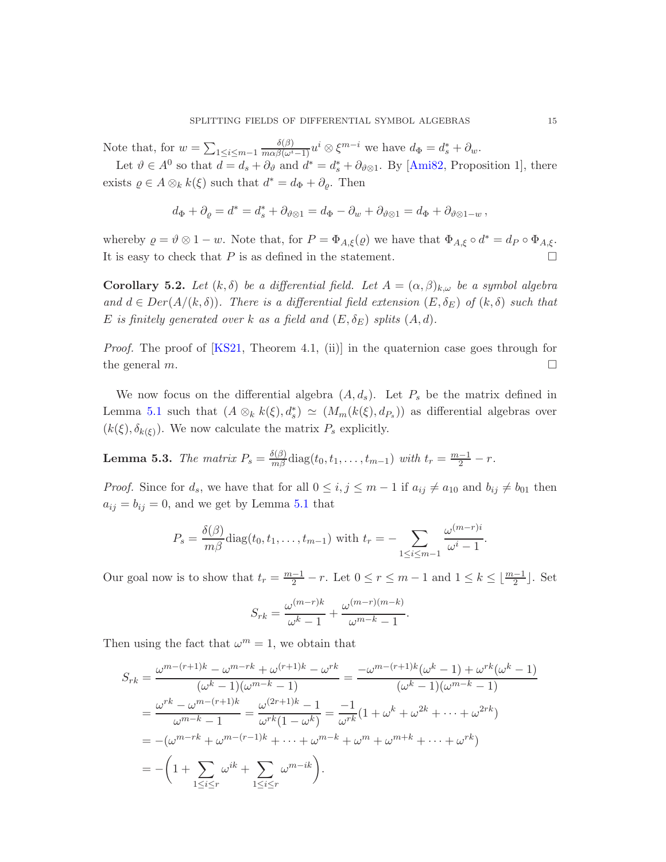<span id="page-14-1"></span>Note that, for  $w = \sum_{1 \leq i \leq m-1}$  $\frac{\delta(\beta)}{m\alpha\beta(\omega^i-1)}u^i\otimes\xi^{m-i}$  we have  $d_\Phi=d_s^*+\partial_w$ .

Let  $\vartheta \in A^0$  so that  $d = d_s + \partial_{\vartheta}$  and  $d^* = d_s^* + \partial_{\vartheta \otimes 1}$ . By [\[Ami82,](#page-19-3) Proposition 1], there exists  $\varrho \in A \otimes_k k(\xi)$  such that  $d^* = d_{\Phi} + \partial_{\varrho}$ . Then

$$
d_{\Phi} + \partial_{\varrho} = d^* = d^*_{s} + \partial_{\vartheta \otimes 1} = d_{\Phi} - \partial_{w} + \partial_{\vartheta \otimes 1} = d_{\Phi} + \partial_{\vartheta \otimes 1 - w},
$$

whereby  $\varrho = \vartheta \otimes 1 - w$ . Note that, for  $P = \Phi_{A,\xi}(\varrho)$  we have that  $\Phi_{A,\xi} \circ d^* = d_P \circ \Phi_{A,\xi}$ . It is easy to check that  $P$  is as defined in the statement.  $\Box$ 

**Corollary 5.2.** Let  $(k, \delta)$  be a differential field. Let  $A = (\alpha, \beta)_{k,\omega}$  be a symbol algebra and  $d \in Der(A/(k,\delta))$ . There is a differential field extension  $(E,\delta_E)$  of  $(k,\delta)$  such that E is finitely generated over k as a field and  $(E, \delta_E)$  splits  $(A, d)$ .

*Proof.* The proof of  $[KS21, Theorem 4.1, (ii)]$  in the quaternion case goes through for the general  $m$ .

We now focus on the differential algebra  $(A, d_s)$ . Let  $P_s$  be the matrix defined in Lemma [5.1](#page-13-0) such that  $(A \otimes_k k(\xi), d_s^*) \simeq (M_m(k(\xi), d_{P_s}))$  as differential algebras over  $(k(\xi), \delta_{k(\xi)})$ . We now calculate the matrix  $P_s$  explicitly.

<span id="page-14-0"></span>**Lemma 5.3.** The matrix  $P_s = \frac{\delta(\beta)}{m\beta} \text{diag}(t_0, t_1, \dots, t_{m-1})$  with  $t_r = \frac{m-1}{2} - r$ .

*Proof.* Since for  $d_s$ , we have that for all  $0 \le i, j \le m-1$  if  $a_{ij} \ne a_{10}$  and  $b_{ij} \ne b_{01}$  then  $a_{ij} = b_{ij} = 0$ , and we get by Lemma [5.1](#page-13-0) that

$$
P_s = \frac{\delta(\beta)}{m\beta} \text{diag}(t_0, t_1, \dots, t_{m-1}) \text{ with } t_r = -\sum_{1 \leq i \leq m-1} \frac{\omega^{(m-r)i}}{\omega^i - 1}.
$$

Our goal now is to show that  $t_r = \frac{m-1}{2} - r$ . Let  $0 \le r \le m-1$  and  $1 \le k \le \lfloor \frac{m-1}{2} \rfloor$ . Set

$$
S_{rk} = \frac{\omega^{(m-r)k}}{\omega^k - 1} + \frac{\omega^{(m-r)(m-k)}}{\omega^{m-k} - 1}.
$$

Then using the fact that  $\omega^m = 1$ , we obtain that

$$
S_{rk} = \frac{\omega^{m-(r+1)k} - \omega^{m-rk} + \omega^{(r+1)k} - \omega^{rk}}{(\omega^k - 1)(\omega^{m-k} - 1)} = \frac{-\omega^{m-(r+1)k}(\omega^k - 1) + \omega^{rk}(\omega^k - 1)}{(\omega^k - 1)(\omega^{m-k} - 1)}
$$
  
= 
$$
\frac{\omega^{rk} - \omega^{m-(r+1)k}}{\omega^{m-k} - 1} = \frac{\omega^{(2r+1)k} - 1}{\omega^{rk}(1 - \omega^k)} = \frac{-1}{\omega^{rk}}(1 + \omega^k + \omega^{2k} + \dots + \omega^{2rk})
$$
  
= 
$$
-(\omega^{m-rk} + \omega^{m-(r-1)k} + \dots + \omega^{m-k} + \omega^m + \omega^{m+k} + \dots + \omega^{rk})
$$
  
= 
$$
-\left(1 + \sum_{1 \leq i \leq r} \omega^{ik} + \sum_{1 \leq i \leq r} \omega^{m-ik}\right).
$$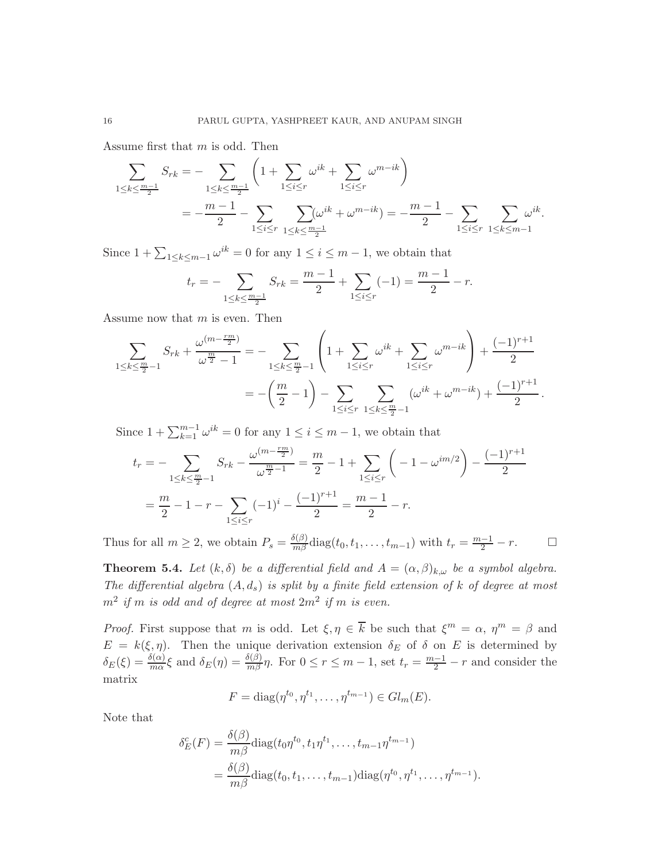Assume first that m is odd. Then

$$
\sum_{1 \le k \le \frac{m-1}{2}} S_{rk} = -\sum_{1 \le k \le \frac{m-1}{2}} \left( 1 + \sum_{1 \le i \le r} \omega^{ik} + \sum_{1 \le i \le r} \omega^{m-ik} \right)
$$
  
= 
$$
-\frac{m-1}{2} - \sum_{1 \le i \le r} \sum_{1 \le k \le \frac{m-1}{2}} \omega^{ik} + \omega^{m-ik} = -\frac{m-1}{2} - \sum_{1 \le i \le r} \sum_{1 \le k \le m-1} \omega^{ik}.
$$

Since  $1 + \sum_{1 \leq k \leq m-1} \omega^{ik} = 0$  for any  $1 \leq i \leq m-1$ , we obtain that

$$
t_r = -\sum_{1 \le k \le \frac{m-1}{2}} S_{rk} = \frac{m-1}{2} + \sum_{1 \le i \le r} (-1) = \frac{m-1}{2} - r.
$$

Assume now that  $m$  is even. Then

$$
\sum_{1 \le k \le \frac{m}{2}-1} S_{rk} + \frac{\omega^{(m-\frac{rm}{2})}}{\omega^{\frac{m}{2}} - 1} = - \sum_{1 \le k \le \frac{m}{2}-1} \left( 1 + \sum_{1 \le i \le r} \omega^{ik} + \sum_{1 \le i \le r} \omega^{m-ik} \right) + \frac{(-1)^{r+1}}{2}
$$

$$
= -\left(\frac{m}{2} - 1\right) - \sum_{1 \le i \le r} \sum_{1 \le k \le \frac{m}{2}-1} (\omega^{ik} + \omega^{m-ik}) + \frac{(-1)^{r+1}}{2}.
$$

Since  $1 + \sum_{k=1}^{m-1} \omega^{ik} = 0$  for any  $1 \le i \le m-1$ , we obtain that

$$
t_r = -\sum_{1 \le k \le \frac{m}{2}-1} S_{rk} - \frac{\omega^{(m-\frac{rm}{2})}}{\omega^{\frac{m}{2}-1}} = \frac{m}{2} - 1 + \sum_{1 \le i \le r} \left( -1 - \omega^{im/2} \right) - \frac{(-1)^{r+1}}{2}
$$

$$
= \frac{m}{2} - 1 - r - \sum_{1 \le i \le r} (-1)^i - \frac{(-1)^{r+1}}{2} = \frac{m-1}{2} - r.
$$

<span id="page-15-0"></span>Thus for all  $m \geq 2$ , we obtain  $P_s = \frac{\delta(\beta)}{m\beta} \text{diag}(t_0, t_1, \dots, t_{m-1})$  with  $t_r = \frac{m-1}{2} - r$ .

**Theorem 5.4.** Let  $(k, \delta)$  be a differential field and  $A = (\alpha, \beta)_{k,\omega}$  be a symbol algebra. The differential algebra  $(A, d_s)$  is split by a finite field extension of k of degree at most  $m^2$  if m is odd and of degree at most  $2m^2$  if m is even.

*Proof.* First suppose that m is odd. Let  $\xi, \eta \in \overline{k}$  be such that  $\xi^m = \alpha, \eta^m = \beta$  and  $E = k(\xi, \eta)$ . Then the unique derivation extension  $\delta_E$  of  $\delta$  on E is determined by  $\delta_E(\xi) = \frac{\delta(\alpha)}{m\alpha}\xi$  and  $\delta_E(\eta) = \frac{\delta(\beta)}{m\beta}\eta$ . For  $0 \le r \le m-1$ , set  $t_r = \frac{m-1}{2} - r$  and consider the matrix

$$
F = diag(\eta^{t_0}, \eta^{t_1}, \dots, \eta^{t_{m-1}}) \in Gl_m(E).
$$

Note that

$$
\delta_E^c(F) = \frac{\delta(\beta)}{m\beta} \text{diag}(t_0 \eta^{t_0}, t_1 \eta^{t_1}, \dots, t_{m-1} \eta^{t_{m-1}})
$$
  
= 
$$
\frac{\delta(\beta)}{m\beta} \text{diag}(t_0, t_1, \dots, t_{m-1}) \text{diag}(\eta^{t_0}, \eta^{t_1}, \dots, \eta^{t_{m-1}}).
$$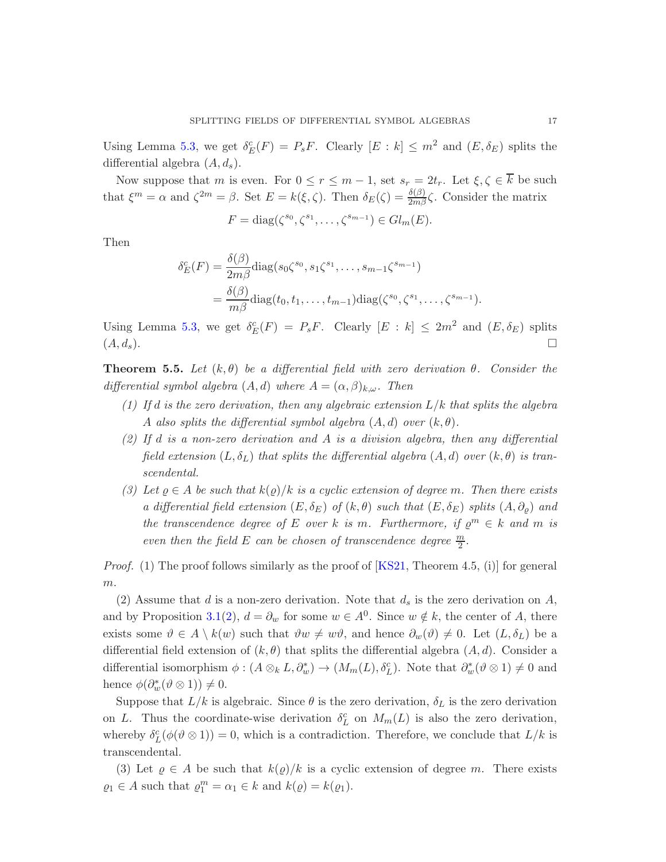<span id="page-16-1"></span>Using Lemma [5.3,](#page-14-0) we get  $\delta_E^c(F) = P_s F$ . Clearly  $[E : k] \leq m^2$  and  $(E, \delta_E)$  splits the differential algebra  $(A, d_s)$ .

Now suppose that m is even. For  $0 \le r \le m-1$ , set  $s_r = 2t_r$ . Let  $\xi, \zeta \in \overline{k}$  be such that  $\xi^m = \alpha$  and  $\zeta^{2m} = \beta$ . Set  $E = k(\xi, \zeta)$ . Then  $\delta_E(\zeta) = \frac{\delta(\beta)}{2m\beta}\zeta$ . Consider the matrix

$$
F = \text{diag}(\zeta^{s_0}, \zeta^{s_1}, \dots, \zeta^{s_{m-1}}) \in Gl_m(E).
$$

Then

$$
\delta_E^c(F) = \frac{\delta(\beta)}{2m\beta} \text{diag}(s_0 \zeta^{s_0}, s_1 \zeta^{s_1}, \dots, s_{m-1} \zeta^{s_{m-1}})
$$
  
= 
$$
\frac{\delta(\beta)}{m\beta} \text{diag}(t_0, t_1, \dots, t_{m-1}) \text{diag}(\zeta^{s_0}, \zeta^{s_1}, \dots, \zeta^{s_{m-1}}).
$$

Using Lemma [5.3,](#page-14-0) we get  $\delta_E^c(F) = P_s F$ . Clearly  $[E : k] \leq 2m^2$  and  $(E, \delta_E)$  splits  $(A, d_s).$ 

<span id="page-16-0"></span>**Theorem 5.5.** Let  $(k, \theta)$  be a differential field with zero derivation  $\theta$ . Consider the differential symbol algebra  $(A, d)$  where  $A = (\alpha, \beta)_{k,\omega}$ . Then

- (1) If d is the zero derivation, then any algebraic extension  $L/k$  that splits the algebra A also splits the differential symbol algebra  $(A, d)$  over  $(k, \theta)$ .
- (2) If d is a non-zero derivation and A is a division algebra, then any differential field extension  $(L, \delta_L)$  that splits the differential algebra  $(A, d)$  over  $(k, \theta)$  is transcendental.
- (3) Let  $\varrho \in A$  be such that  $k(\varrho)/k$  is a cyclic extension of degree m. Then there exists a differential field extension  $(E, \delta_E)$  of  $(k, \theta)$  such that  $(E, \delta_E)$  splits  $(A, \partial_{\theta})$  and the transcendence degree of E over k is m. Furthermore, if  $\varrho^m \in k$  and m is even then the field E can be chosen of transcendence degree  $\frac{m}{2}$ .

*Proof.* (1) The proof follows similarly as the proof of  $[KS21,$  Theorem 4.5, (i) for general  $m$ .

(2) Assume that d is a non-zero derivation. Note that  $d_s$  is the zero derivation on A, and by Proposition [3.1\(](#page-4-0)[2\)](#page-4-7),  $d = \partial_w$  for some  $w \in A^0$ . Since  $w \notin k$ , the center of A, there exists some  $\vartheta \in A \setminus k(w)$  such that  $\vartheta w \neq w\vartheta$ , and hence  $\partial_w(\vartheta) \neq 0$ . Let  $(L, \delta_L)$  be a differential field extension of  $(k, \theta)$  that splits the differential algebra  $(A, d)$ . Consider a differential isomorphism  $\phi: (A \otimes_k L, \partial_w^*) \to (M_m(L), \delta_L^c)$ . Note that  $\partial_w^*(\vartheta \otimes 1) \neq 0$  and hence  $\phi(\partial_w^*(\vartheta \otimes 1)) \neq 0$ .

Suppose that  $L/k$  is algebraic. Since  $\theta$  is the zero derivation,  $\delta_L$  is the zero derivation on L. Thus the coordinate-wise derivation  $\delta_L^c$  on  $M_m(L)$  is also the zero derivation, whereby  $\delta_L^c(\phi(\vartheta \otimes 1)) = 0$ , which is a contradiction. Therefore, we conclude that  $L/k$  is transcendental.

(3) Let  $\varrho \in A$  be such that  $k(\varrho)/k$  is a cyclic extension of degree m. There exists  $\varrho_1 \in A$  such that  $\varrho_1^m = \alpha_1 \in k$  and  $k(\varrho) = k(\varrho_1)$ .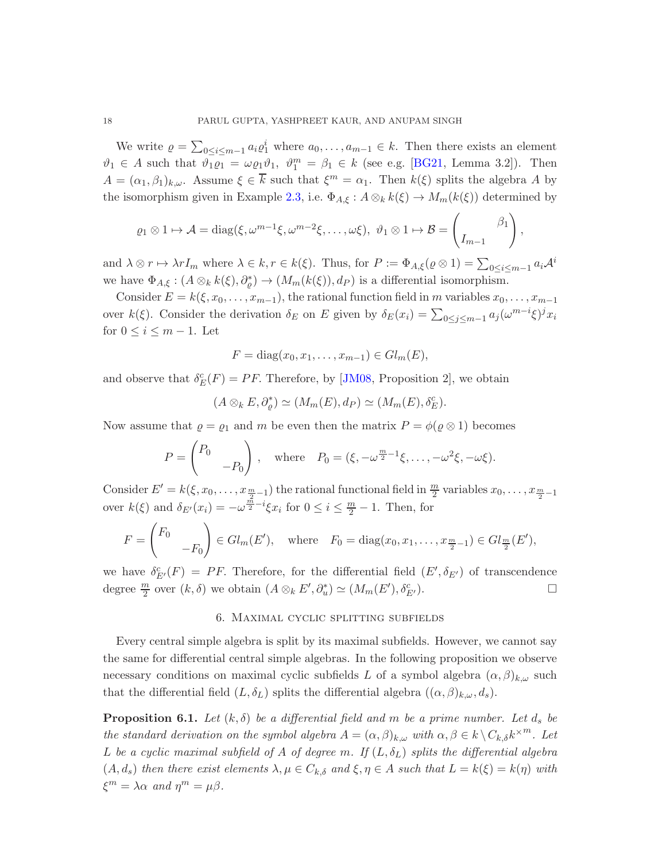<span id="page-17-1"></span>We write  $\rho = \sum_{0 \le i \le m-1} a_i \rho_1^i$  where  $a_0, \ldots, a_{m-1} \in k$ . Then there exists an element  $\vartheta_1 \in A$  such that  $\vartheta_1 \varrho_1 = \omega \varrho_1 \vartheta_1$ ,  $\vartheta_1^m = \beta_1 \in k$  (see e.g. [\[BG21,](#page-19-6) Lemma 3.2]). Then  $A = (\alpha_1, \beta_1)_{k,\omega}$ . Assume  $\xi \in \overline{k}$  such that  $\xi^m = \alpha_1$ . Then  $k(\xi)$  splits the algebra A by the isomorphism given in Example [2.3,](#page-3-2) i.e.  $\Phi_{A,\xi}: A \otimes_k k(\xi) \to M_m(k(\xi))$  determined by

$$
\varrho_1 \otimes 1 \mapsto \mathcal{A} = \text{diag}(\xi, \omega^{m-1}\xi, \omega^{m-2}\xi, \dots, \omega\xi), \ \vartheta_1 \otimes 1 \mapsto \mathcal{B} = \begin{pmatrix} \beta_1 \\ I_{m-1} \end{pmatrix},
$$

and  $\lambda \otimes r \mapsto \lambda r I_m$  where  $\lambda \in k, r \in k(\xi)$ . Thus, for  $P := \Phi_{A,\xi}(\varrho \otimes 1) = \sum_{0 \leq i \leq m-1} a_i \mathcal{A}^i$ we have  $\Phi_{A,\xi}: (A \otimes_k k(\xi), \partial_{\varrho}^*) \to (M_m(k(\xi)), d_P)$  is a differential isomorphism.

Consider  $E = k(\xi, x_0, \ldots, x_{m-1})$ , the rational function field in m variables  $x_0, \ldots, x_{m-1}$ over  $k(\xi)$ . Consider the derivation  $\delta_E$  on E given by  $\delta_E(x_i) = \sum_{0 \le j \le m-1} a_j (\omega^{m-i} \xi)^j x_i$ for  $0 \leq i \leq m-1$ . Let

$$
F = diag(x_0, x_1, \dots, x_{m-1}) \in Gl_m(E),
$$

and observe that  $\delta_E^c(F) = PF$ . Therefore, by [\[JM08,](#page-20-1) Proposition 2], we obtain

$$
(A \otimes_k E, \partial_{\varrho}^*) \simeq (M_m(E), d_P) \simeq (M_m(E), \delta_E^c).
$$

Now assume that  $\varrho = \varrho_1$  and m be even then the matrix  $P = \varphi(\varrho \otimes 1)$  becomes

$$
P = \begin{pmatrix} P_0 & \\ & -P_0 \end{pmatrix}, \quad \text{where} \quad P_0 = (\xi, -\omega^{\frac{m}{2}-1}\xi, \dots, -\omega^2\xi, -\omega\xi).
$$

Consider  $E' = k(\xi, x_0, \ldots, x_{\frac{m}{2}-1})$  the rational functional field in  $\frac{m}{2}$  variables  $x_0, \ldots, x_{\frac{m}{2}-1}$ over  $k(\xi)$  and  $\delta_{E'}(x_i) = -\omega^{\frac{n}{2}-i}\xi x_i$  for  $0 \leq i \leq \frac{m}{2}-1$ . Then, for

$$
F = \begin{pmatrix} F_0 & \\ & -F_0 \end{pmatrix} \in Gl_m(E'), \text{ where } F_0 = \text{diag}(x_0, x_1, \dots, x_{\frac{m}{2}-1}) \in Gl_{\frac{m}{2}}(E'),
$$

we have  $\delta_{E'}^c(F) = PF$ . Therefore, for the differential field  $(E', \delta_{E'})$  of transcendence degree  $\frac{m}{2}$  over  $(k, \delta)$  we obtain  $(A \otimes_k E', \partial_u^*) \simeq (M_m(E'), \delta_E^c)$  $\overset{c}{E'}$ ).

## 6. Maximal cyclic splitting subfields

Every central simple algebra is split by its maximal subfields. However, we cannot say the same for differential central simple algebras. In the following proposition we observe necessary conditions on maximal cyclic subfields L of a symbol algebra  $(\alpha, \beta)_{k,\omega}$  such that the differential field  $(L, \delta_L)$  splits the differential algebra  $((\alpha, \beta)_{k,\omega}, d_s)$ .

<span id="page-17-0"></span>**Proposition 6.1.** Let  $(k, \delta)$  be a differential field and m be a prime number. Let  $d_s$  be the standard derivation on the symbol algebra  $A = (\alpha, \beta)_{k,\omega}$  with  $\alpha, \beta \in k \setminus C_{k,\delta} k^{\times m}$ . Let L be a cyclic maximal subfield of A of degree m. If  $(L, \delta_L)$  splits the differential algebra  $(A, d_s)$  then there exist elements  $\lambda, \mu \in C_{k,\delta}$  and  $\xi, \eta \in A$  such that  $L = k(\xi) = k(\eta)$  with  $\xi^m = \lambda \alpha$  and  $\eta^m = \mu \beta$ .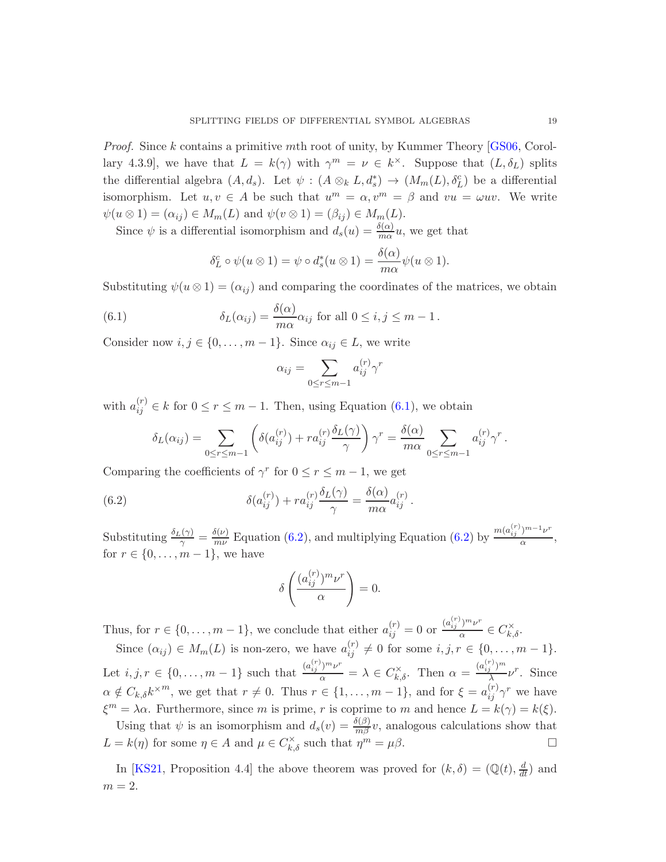<span id="page-18-3"></span>*Proof.* Since k contains a primitive mth root of unity, by Kummer Theory  $[GS06, Corol$ lary 4.3.9, we have that  $L = k(\gamma)$  with  $\gamma^m = \nu \in k^{\times}$ . Suppose that  $(L, \delta_L)$  splits the differential algebra  $(A, d_s)$ . Let  $\psi : (A \otimes_k L, d_s^*) \to (M_m(L), \delta_L^c)$  be a differential isomorphism. Let  $u, v \in A$  be such that  $u^m = \alpha, v^m = \beta$  and  $vu = \omega uv$ . We write  $\psi(u \otimes 1) = (\alpha_{ij}) \in M_m(L)$  and  $\psi(v \otimes 1) = (\beta_{ij}) \in M_m(L)$ .

Since  $\psi$  is a differential isomorphism and  $d_s(u) = \frac{\delta(\alpha)}{m\alpha}u$ , we get that

<span id="page-18-0"></span>
$$
\delta_L^c \circ \psi(u \otimes 1) = \psi \circ d_s^*(u \otimes 1) = \frac{\delta(\alpha)}{m\alpha} \psi(u \otimes 1).
$$

Substituting  $\psi(u \otimes 1) = (\alpha_{ij})$  and comparing the coordinates of the matrices, we obtain

(6.1) 
$$
\delta_L(\alpha_{ij}) = \frac{\delta(\alpha)}{m\alpha} \alpha_{ij} \text{ for all } 0 \le i, j \le m-1.
$$

Consider now  $i, j \in \{0, ..., m-1\}$ . Since  $\alpha_{ij} \in L$ , we write

$$
\alpha_{ij} = \sum_{0 \le r \le m-1} a_{ij}^{(r)} \gamma^r
$$

with  $a_{ij}^{(r)} \in k$  for  $0 \le r \le m-1$ . Then, using Equation [\(6.1\)](#page-18-0), we obtain

$$
\delta_L(\alpha_{ij}) = \sum_{0 \le r \le m-1} \left( \delta(a_{ij}^{(r)}) + r a_{ij}^{(r)} \frac{\delta_L(\gamma)}{\gamma} \right) \gamma^r = \frac{\delta(\alpha)}{m \alpha} \sum_{0 \le r \le m-1} a_{ij}^{(r)} \gamma^r.
$$

Comparing the coefficients of  $\gamma^r$  for  $0 \le r \le m-1$ , we get

(6.2) 
$$
\delta(a_{ij}^{(r)}) + r a_{ij}^{(r)} \frac{\delta_L(\gamma)}{\gamma} = \frac{\delta(\alpha)}{m \alpha} a_{ij}^{(r)}.
$$

Substituting  $\frac{\delta_L(\gamma)}{\gamma} = \frac{\delta(\nu)}{m\nu}$  $\frac{\delta(\nu)}{m\nu}$  Equation [\(6.2\)](#page-18-1), and multiplying Equation (6.2) by  $\frac{m(a_{ij}^{(r)})^{m-1}\nu^r}{\alpha}$  $\frac{\theta}{\alpha}$ , for  $r \in \{0, \ldots, m-1\}$ , we have

<span id="page-18-1"></span>
$$
\delta \left( \frac{(a_{ij}^{(r)})^m \nu^r}{\alpha} \right) = 0.
$$

Thus, for  $r \in \{0, \ldots, m-1\}$ , we conclude that either  $a_{ij}^{(r)} = 0$  or  $\frac{(a_{ij}^{(r)})^m \nu^r}{\alpha}$  $rac{\partial^{\alpha} \nu}{\partial \alpha} \in C_{k,\delta}^{\times}.$ 

Since  $(\alpha_{ij}) \in M_m(L)$  is non-zero, we have  $a_{ij}^{(r)} \neq 0$  for some  $i, j, r \in \{0, ..., m-1\}$ . Let  $i, j, r \in \{0, ..., m-1\}$  such that  $\frac{(a_{ij}^{(r)})^m \nu^r}{\alpha} = \lambda \in C_{k,\delta}^{\times}$ . Then  $\alpha = \frac{(a_{ij}^{(r)})^m}{\lambda}$  $\frac{1}{\lambda} \nu^{r}$ . Since  $\alpha \notin C_{k,\delta} k^{\times m}$ , we get that  $r \neq 0$ . Thus  $r \in \{1,\ldots,m-1\}$ , and for  $\xi = a_{ij}^{(r)} \gamma^r$  we have  $\xi^m = \lambda \alpha$ . Furthermore, since m is prime, r is coprime to m and hence  $L = k(\gamma) = k(\xi)$ . Using that  $\psi$  is an isomorphism and  $d_s(v) = \frac{\delta(\beta)}{m\beta}v$ , analogous calculations show that

 $L = k(\eta)$  for some  $\eta \in A$  and  $\mu \in C_{k,\delta}^{\times}$  such that  $\eta^m = \mu \beta$ .

<span id="page-18-2"></span>In [\[KS21,](#page-20-2) Proposition 4.4] the above theorem was proved for  $(k, \delta) = (\mathbb{Q}(t), \frac{d}{dt})$  and  $m = 2$ .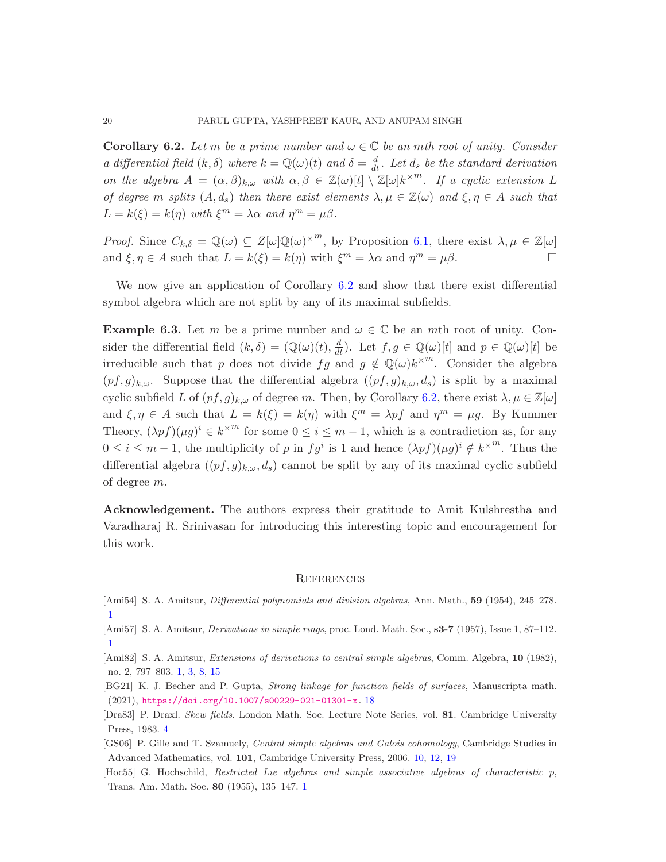**Corollary 6.2.** Let m be a prime number and  $\omega \in \mathbb{C}$  be an mth root of unity. Consider a differential field  $(k, \delta)$  where  $k = \mathbb{Q}(\omega)(t)$  and  $\delta = \frac{d}{dt}$ . Let  $d_s$  be the standard derivation on the algebra  $A = (\alpha, \beta)_{k,\omega}$  with  $\alpha, \beta \in \mathbb{Z}(\omega)[t] \setminus \mathbb{Z}[\omega]k^{\times m}$ . If a cyclic extension L of degree m splits  $(A, d_s)$  then there exist elements  $\lambda, \mu \in \mathbb{Z}(\omega)$  and  $\xi, \eta \in A$  such that  $L = k(\xi) = k(\eta)$  with  $\xi^m = \lambda \alpha$  and  $\eta^m = \mu \beta$ .

*Proof.* Since  $C_{k,\delta} = \mathbb{Q}(\omega) \subseteq Z[\omega] \mathbb{Q}(\omega)^{\times m}$ , by Proposition [6.1,](#page-17-0) there exist  $\lambda, \mu \in \mathbb{Z}[\omega]$ and  $\xi, \eta \in A$  such that  $L = k(\xi) = k(\eta)$  with  $\xi^m = \lambda \alpha$  and  $\eta^m = \mu \beta$ .

We now give an application of Corollary [6.2](#page-18-2) and show that there exist differential symbol algebra which are not split by any of its maximal subfields.

**Example 6.3.** Let m be a prime number and  $\omega \in \mathbb{C}$  be an mth root of unity. Consider the differential field  $(k, \delta) = (\mathbb{Q}(\omega)(t), \frac{d}{dt})$ . Let  $f, g \in \mathbb{Q}(\omega)[t]$  and  $p \in \mathbb{Q}(\omega)[t]$  be irreducible such that p does not divide  $fg$  and  $g \notin \mathbb{Q}(\omega)k^{\times m}$ . Consider the algebra  $(pf,g)_{k,\omega}$ . Suppose that the differential algebra  $((pf,g)_{k,\omega}, d_s)$  is split by a maximal cyclic subfield L of  $(pf, g)_{k,\omega}$  of degree m. Then, by Corollary [6.2,](#page-18-2) there exist  $\lambda, \mu \in \mathbb{Z}[\omega]$ and  $\xi, \eta \in A$  such that  $L = k(\xi) = k(\eta)$  with  $\xi^m = \lambda p f$  and  $\eta^m = \mu g$ . By Kummer Theory,  $(\lambda pf)(\mu g)^i \in k^{\times m}$  for some  $0 \leq i \leq m-1$ , which is a contradiction as, for any  $0 \leq i \leq m-1$ , the multiplicity of p in  $fg^i$  is 1 and hence  $(\lambda pf)(\mu g)^i \notin k^{\times m}$ . Thus the differential algebra  $((pf, g)_{k,\omega}, d_s)$  cannot be split by any of its maximal cyclic subfield of degree m.

Acknowledgement. The authors express their gratitude to Amit Kulshrestha and Varadharaj R. Srinivasan for introducing this interesting topic and encouragement for this work.

#### **REFERENCES**

- <span id="page-19-1"></span>[Ami54] S. A. Amitsur, *Differential polynomials and division algebras*, Ann. Math., **59** (1954), 245–278. [1](#page-0-0)
- <span id="page-19-2"></span>[Ami57] S. A. Amitsur, *Derivations in simple rings*, proc. Lond. Math. Soc., **s3-7** (1957), Issue 1, 87–112. [1](#page-0-0)
- <span id="page-19-3"></span>[Ami82] S. A. Amitsur, *Extensions of derivations to central simple algebras*, Comm. Algebra, 10 (1982), no. 2, 797–803. [1,](#page-0-0) [3,](#page-2-1) [8,](#page-7-0) [15](#page-14-1)
- <span id="page-19-6"></span>[BG21] K. J. Becher and P. Gupta, Strong linkage for function fields of surfaces, Manuscripta math. (2021), <https://doi.org/10.1007/s00229-021-01301-x>. [18](#page-17-1)
- <span id="page-19-4"></span>[Dra83] P. Draxl. Skew fields. London Math. Soc. Lecture Note Series, vol. 81. Cambridge University Press, 1983. [4](#page-3-4)
- <span id="page-19-5"></span>[GS06] P. Gille and T. Szamuely, Central simple algebras and Galois cohomology, Cambridge Studies in Advanced Mathematics, vol. 101, Cambridge University Press, 2006. [10,](#page-9-4) [12,](#page-11-0) [19](#page-18-3)
- <span id="page-19-0"></span>[Hoc55] G. Hochschild, Restricted Lie algebras and simple associative algebras of characteristic p, Trans. Am. Math. Soc. 80 (1955), 135–147. [1](#page-0-0)